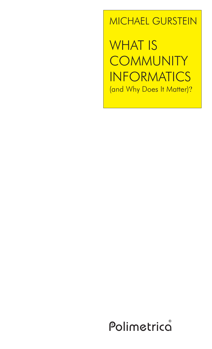MICHAEL GURSTEIN

WHAT IS **COMMUNITY INFORMATICS** (and Why Does It Matter)?

# Polimetrica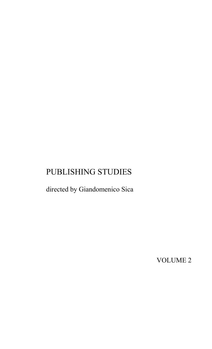## PUBLISHING STUDIES

directed by Giandomenico Sica

VOLUME 2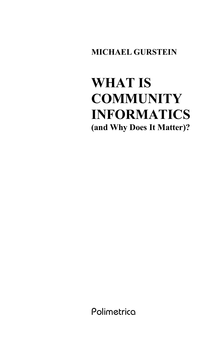**MICHAEL GURSTEIN**

## **WHAT IS COMMUNITY INFORMATICS (and Why Does It Matter)?**

Polimetrica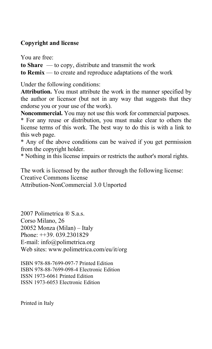## **Copyright and license**

You are free:

**to Share** — to copy, distribute and transmit the work

**to Remix** — to create and reproduce adaptations of the work

Under the following conditions:

**Attribution.** You must attribute the work in the manner specified by the author or licensor (but not in any way that suggests that they endorse you or your use of the work).

**Noncommercial.** You may not use this work for commercial purposes.

\* For any reuse or distribution, you must make clear to others the license terms of this work. The best way to do this is with a link to this web page.

\* Any of the above conditions can be waived if you get permission from the copyright holder.

\* Nothing in this license impairs or restricts the author's moral rights.

The work is licensed by the author through the following license: Creative Commons license Attribution-NonCommercial 3.0 Unported

2007 Polimetrica  $\mathbb{R}$  S a s. Corso Milano, 26 20052 Monza (Milan) – Italy Phone: ++39. 039.2301829 E-mail: info@polimetrica.org Web sites: www.polimetrica.com/eu/it/org

ISBN 978-88-7699-097-7 Printed Edition ISBN 978-88-7699-098-4 Electronic Edition ISSN 1973-6061 Printed Edition ISSN 1973-6053 Electronic Edition

Printed in Italy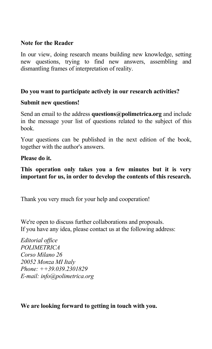#### **Note for the Reader**

In our view, doing research means building new knowledge, setting new questions, trying to find new answers, assembling and dismantling frames of interpretation of reality.

## **Do you want to participate actively in our research activities?**

#### **Submit new questions!**

Send an email to the address **questions@polimetrica.org** and include in the message your list of questions related to the subject of this book.

Your questions can be published in the next edition of the book, together with the author's answers.

#### **Please do it.**

## **This operation only takes you a few minutes but it is very important for us, in order to develop the contents of this research.**

Thank you very much for your help and cooperation!

We're open to discuss further collaborations and proposals. If you have any idea, please contact us at the following address:

*Editorial office POLIMETRICA Corso Milano 26 20052 Monza MI Italy Phone: ++39.039.2301829 E-mail: info@polimetrica.org*

## **We are looking forward to getting in touch with you.**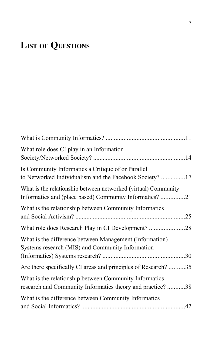## **LIST OF QUESTIONS**

| What role does CI play in an Information                                                                                  |  |
|---------------------------------------------------------------------------------------------------------------------------|--|
| Is Community Informatics a Critique of or Parallel<br>to Networked Individualism and the Facebook Society?                |  |
| What is the relationship between networked (virtual) Community<br>Informatics and (place based) Community Informatics? 21 |  |
| What is the relationship between Community Informatics                                                                    |  |
| What role does Research Play in CI Development? 28                                                                        |  |
| What is the difference between Management (Information)<br>Systems research (MIS) and Community Information               |  |
| Are there specifically CI areas and principles of Research? 35                                                            |  |
| What is the relationship between Community Informatics<br>research and Community Informatics theory and practice?38       |  |
| What is the difference between Community Informatics                                                                      |  |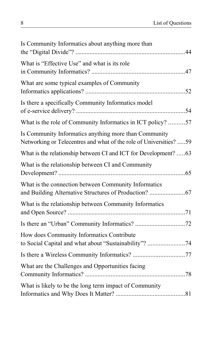| Is Community Informatics about anything more than                                                                           | .44 |
|-----------------------------------------------------------------------------------------------------------------------------|-----|
| What is "Effective Use" and what is its role                                                                                |     |
| What are some typical examples of Community                                                                                 |     |
| Is there a specifically Community Informatics model                                                                         |     |
| What is the role of Community Informatics in ICT policy? 57                                                                 |     |
| Is Community Informatics anything more than Community<br>Networking or Telecentres and what of the role of Universities? 59 |     |
| What is the relationship between CI and ICT for Development? 63                                                             |     |
| What is the relationship between CI and Community                                                                           |     |
| What is the connection between Community Informatics                                                                        |     |
| What is the relationship between Community Informatics                                                                      |     |
|                                                                                                                             |     |
| How does Community Informatics Contribute<br>to Social Capital and what about "Sustainability"? 74                          |     |
|                                                                                                                             |     |
| What are the Challenges and Opportunities facing                                                                            |     |
| What is likely to be the long term impact of Community                                                                      |     |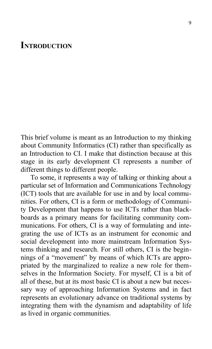## **INTRODUCTION**

This brief volume is meant as an Introduction to my thinking about Community Informatics (CI) rather than specifically as an Introduction to CI. I make that distinction because at this stage in its early development CI represents a number of different things to different people.

To some, it represents a way of talking or thinking about a particular set of Information and Communications Technology (ICT) tools that are available for use in and by local communities. For others, CI is a form or methodology of Community Development that happens to use ICTs rather than blackboards as a primary means for facilitating community communications. For others, CI is a way of formulating and integrating the use of ICTs as an instrument for economic and social development into more mainstream Information Systems thinking and research. For still others, CI is the beginnings of a "movement" by means of which ICTs are appropriated by the marginalized to realize a new role for themselves in the Information Society. For myself, CI is a bit of all of these, but at its most basic CI is about a new but necessary way of approaching Information Systems and in fact represents an evolutionary advance on traditional systems by integrating them with the dynamism and adaptability of life as lived in organic communities.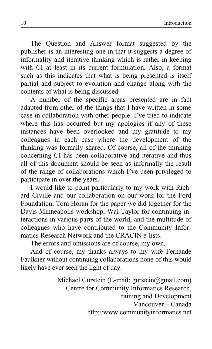The Question and Answer format suggested by the publisher is an interesting one in that it suggests a degree of informality and iterative thinking which is rather in keeping with CI at least in its current formulation. Also, a format such as this indicates that what is being presented is itself partial and subject to evolution and change along with the contents of what is being discussed.

A number of the specific areas presented are in fact adapted from other of the things that I have written in some case in collaboration with other people. I've tried to indicate where this has occurred but my apologies if any of these instances have been overlooked and my gratitude to my colleagues in each case where the development of the thinking was formally shared. Of course, all of the thinking concerning CI has been collaborative and iterative and thus all of this document should be seen as informally the result of the range of collaborations which I've been privileged to participate in over the years.

I would like to point particularly to my work with Richard Civille and our collaboration on our work for the Ford Foundation, Tom Horan for the paper we did together for the Davis Minneapolis workshop, Wal Taylor for continuing interactions in various parts of the world, and the multitude of colleagues who have contributed to the Community Informatics Research Network and the CRACIN e-lists.

The errors and omissions are of course, my own.

And of course, my thanks always to my wife Fernande Faulkner without continuing collaborations none of this would likely have ever seen the light of day.

> Michael Gurstein (E-mail: gurstein@gmail.com) Centre for Community Informatics Research, Training and Development Vancouver – Canada http://www.communityinformatics.net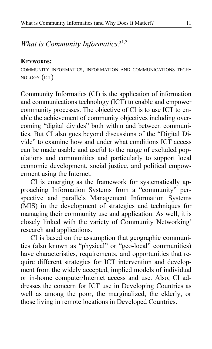## *What is Community Informatics?*1,2

## **KEYWORDS:**

COMMUNITY INFORMATICS, INFORMATION AND COMMUNICATIONS TECH-NOLOGY (ICT)

Community Informatics (CI) is the application of information and communications technology (ICT) to enable and empower community processes. The objective of CI is to use ICT to enable the achievement of community objectives including overcoming "digital divides" both within and between communities. But CI also goes beyond discussions of the "Digital Divide" to examine how and under what conditions ICT access can be made usable and useful to the range of excluded populations and communities and particularly to support local economic development, social justice, and political empowerment using the Internet.

CI is emerging as the framework for systematically approaching Information Systems from a "community" perspective and parallels Management Information Systems (MIS) in the development of strategies and techniques for managing their community use and application. As well, it is closely linked with the variety of Community Networking3 research and applications.

CI is based on the assumption that geographic communities (also known as "physical" or "geo-local" communities) have characteristics, requirements, and opportunities that require different strategies for ICT intervention and development from the widely accepted, implied models of individual or in-home computer/Internet access and use. Also, CI addresses the concern for ICT use in Developing Countries as well as among the poor, the marginalized, the elderly, or those living in remote locations in Developed Countries.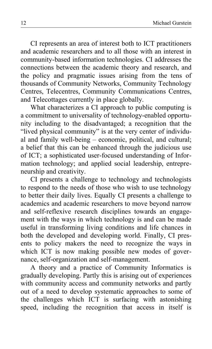CI represents an area of interest both to ICT practitioners and academic researchers and to all those with an interest in community-based information technologies. CI addresses the connections between the academic theory and research, and the policy and pragmatic issues arising from the tens of thousands of Community Networks, Community Technology Centres, Telecentres, Community Communications Centres, and Telecottages currently in place globally.

What characterizes a CI approach to public computing is a commitment to universality of technology-enabled opportunity including to the disadvantaged; a recognition that the "lived physical community" is at the very center of individual and family well-being – economic, political, and cultural; a belief that this can be enhanced through the judicious use of ICT; a sophisticated user-focused understanding of Information technology; and applied social leadership, entrepreneurship and creativity.

CI presents a challenge to technology and technologists to respond to the needs of those who wish to use technology to better their daily lives. Equally CI presents a challenge to academics and academic researchers to move beyond narrow and self-reflexive research disciplines towards an engagement with the ways in which technology is and can be made useful in transforming living conditions and life chances in both the developed and developing world. Finally, CI presents to policy makers the need to recognize the ways in which ICT is now making possible new modes of governance, self-organization and self-management.

A theory and a practice of Community Informatics is gradually developing. Partly this is arising out of experiences with community access and community networks and partly out of a need to develop systematic approaches to some of the challenges which ICT is surfacing with astonishing speed, including the recognition that access in itself is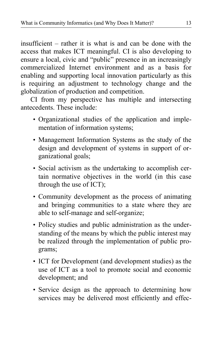insufficient – rather it is what is and can be done with the access that makes ICT meaningful. CI is also developing to ensure a local, civic and "public" presence in an increasingly commercialized Internet environment and as a basis for enabling and supporting local innovation particularly as this is requiring an adjustment to technology change and the globalization of production and competition.

CI from my perspective has multiple and intersecting antecedents. These include:

- Organizational studies of the application and implementation of information systems;
- Management Information Systems as the study of the design and development of systems in support of organizational goals;
- À Social activism as the undertaking to accomplish certain normative objectives in the world (in this case through the use of ICT);
- Community development as the process of animating and bringing communities to a state where they are able to self-manage and self-organize;
- Policy studies and public administration as the understanding of the means by which the public interest may be realized through the implementation of public programs;
- ICT for Development (and development studies) as the use of ICT as a tool to promote social and economic development; and
- Service design as the approach to determining how services may be delivered most efficiently and effec-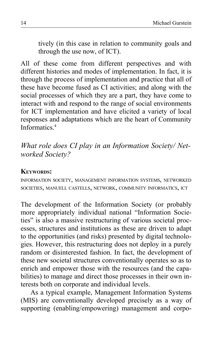tively (in this case in relation to community goals and through the use now, of ICT).

All of these come from different perspectives and with different histories and modes of implementation. In fact, it is through the process of implementation and practice that all of these have become fused as CI activities; and along with the social processes of which they are a part, they have come to interact with and respond to the range of social environments for ICT implementation and have elicited a variety of local responses and adaptations which are the heart of Community Informatics.4

*What role does CI play in an Information Society/ Networked Society?*

## **KEYWORDS:**

INFORMATION SOCIETY, MANAGEMENT INFORMATION SYSTEMS, NETWORKED SOCIETIES, MANUELL CASTELLS, NETWORK, COMMUNITY INFORMATICS, ICT

The development of the Information Society (or probably more appropriately individual national "Information Societies" is also a massive restructuring of various societal processes, structures and institutions as these are driven to adapt to the opportunities (and risks) presented by digital technologies. However, this restructuring does not deploy in a purely random or disinterested fashion. In fact, the development of these new societal structures conventionally operates so as to enrich and empower those with the resources (and the capabilities) to manage and direct those processes in their own interests both on corporate and individual levels.

As a typical example, Management Information Systems (MIS) are conventionally developed precisely as a way of supporting (enabling/empowering) management and corpo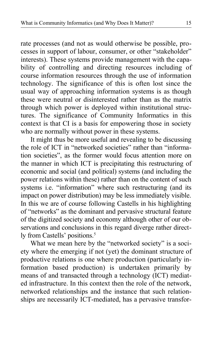rate processes (and not as would otherwise be possible, processes in support of labour, consumer, or other "stakeholder" interests). These systems provide management with the capability of controlling and directing resources including of course information resources through the use of information technology. The significance of this is often lost since the usual way of approaching information systems is as though these were neutral or disinterested rather than as the matrix through which power is deployed within institutional structures. The significance of Community Informatics in this context is that CI is a basis for empowering those in society who are normally without power in these systems.

It might thus be more useful and revealing to be discussing the role of ICT in "networked societies" rather than "information societies", as the former would focus attention more on the manner in which ICT is precipitating this restructuring of economic and social (and political) systems (and including the power relations within these) rather than on the content of such systems i.e. "information" where such restructuring (and its impact on power distribution) may be less immediately visible. In this we are of course following Castells in his highlighting of "networks" as the dominant and pervasive structural feature of the digitized society and economy although other of our observations and conclusions in this regard diverge rather directly from Castells' positions.<sup>5</sup>

What we mean here by the "networked society" is a society where the emerging if not (yet) the dominant structure of productive relations is one where production (particularly information based production) is undertaken primarily by means of and transacted through a technology (ICT) mediated infrastructure. In this context then the role of the network, networked relationships and the instance that such relationships are necessarily ICT-mediated, has a pervasive transfor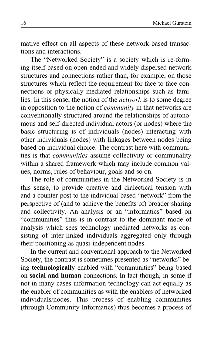mative effect on all aspects of these network-based transactions and interactions.

The "Networked Society" is a society which is re-forming itself based on open-ended and widely dispersed network structures and connections rather than, for example, on those structures which reflect the requirement for face to face connections or physically mediated relationships such as families. In this sense, the notion of the *network* is to some degree in opposition to the notion of *community* in that networks are conventionally structured around the relationships of autonomous and self-directed individual actors (or nodes) where the basic structuring is of individuals (nodes) interacting with other individuals (nodes) with linkages between nodes being based on individual choice. The contrast here with communities is that *communities* assume collectivity or communality within a shared framework which may include common values, norms, rules of behaviour, goals and so on.

The role of communities in the Networked Society is in this sense, to provide creative and dialectical tension with and a counter-post to the individual-based "network" from the perspective of (and to achieve the benefits of) broader sharing and collectivity. An analysis or an "informatics" based on "communities" thus is in contrast to the dominant mode of analysis which sees technology mediated networks as consisting of inter-linked individuals aggregated only through their positioning as quasi-independent nodes.

In the current and conventional approach to the Networked Society, the contrast is sometimes presented as "networks" being **technologically** enabled with "communities" being based on **social and human** connections. In fact though, in some if not in many cases information technology can act equally as the enabler of communities as with the enablers of networked individuals/nodes. This process of enabling communities (through Community Informatics) thus becomes a process of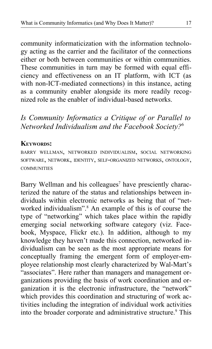community informaticization with the information technology acting as the carrier and the facilitator of the connections either or both between communities or within communities. These communities in turn may be formed with equal efficiency and effectiveness on an IT platform, with ICT (as with non-ICT-mediated connections) in this instance, acting as a community enabler alongside its more readily recognized role as the enabler of individual-based networks.

*Is Community Informatics a Critique of or Parallel to Networked Individualism and the Facebook Society?*<sup>6</sup>

## **KEYWORDS:**

BARRY WELLMAN, NETWORKED INDIVIDUALISM, SOCIAL NETWORKING SOFTWARE, NETWORK, IDENTITY, SELF-ORGANIZED NETWORKS, ONTOLOGY, COMMUNITIES

Barry Wellman and his colleagues<sup>7</sup> have presciently characterized the nature of the status and relationships between individuals within electronic networks as being that of "networked individualism".<sup>8</sup> An example of this is of course the type of "networking" which takes place within the rapidly emerging social networking software category (viz. Facebook, Myspace, Flickr etc.). In addition, although to my knowledge they haven't made this connection, networked individualism can be seen as the most appropriate means for conceptually framing the emergent form of employer-employee relationship most clearly characterized by Wal-Mart's "associates". Here rather than managers and management organizations providing the basis of work coordination and organization it is the electronic infrastructure, the "network" which provides this coordination and structuring of work activities including the integration of individual work activities into the broader corporate and administrative structure.<sup>9</sup> This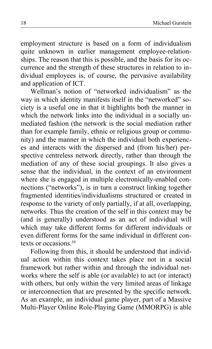employment structure is based on a form of individualism quite unknown in earlier management employee-relationships. The reason that this is possible, and the basis for its occurrence and the strength of these structures in relation to individual employees is, of course, the pervasive availability and application of ICT.

Wellman's notion of "networked individualism" as the way in which identity manifests itself in the "networked" society is a useful one in that it highlights both the manner in which the network links into the individual in a socially unmediated fashion (the network is the social mediation rather than for example family, ethnic or religious group or community) and the manner in which the individual both experiences and interacts with the dispersed and (from his/her) perspective centreless network directly, rather than through the mediation of any of these social groupings. It also gives a sense that the individual, in the context of an environment where she is engaged in multiple electronically-enabled connections ("networks"), is in turn a construct linking together fragmented identities/individualisms structured or created in response to the variety of only partially, if at all, overlapping, networks. Thus the creation of the self in this context may be (and is generally) understood as an act of individual will which may take different forms for different individuals or even different forms for the same individual in different contexts or occasions.<sup>10</sup>

Following from this, it should be understood that individual action within this context takes place not in a social framework but rather within and through the individual networks where the self is able (or available) to act (or interact) with others, but only within the very limited areas of linkage or interconnection that are presented by the specific network. As an example, an individual game player, part of a Massive Multi-Player Online Role-Playing Game (MMORPG) is able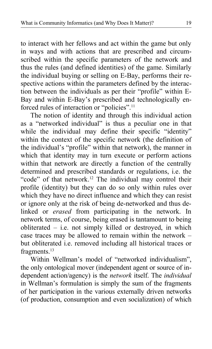to interact with her fellows and act within the game but only in ways and with actions that are prescribed and circumscribed within the specific parameters of the network and thus the rules (and defined identities) of the game. Similarly the individual buying or selling on E-Bay, performs their respective actions within the parameters defined by the interaction between the individuals as per their "profile" within E-Bay and within E-Bay's prescribed and technologically enforced rules of interaction or "policies".<sup>11</sup>

The notion of identity and through this individual action as a "networked individual" is thus a peculiar one in that while the individual may define their specific "identity" within the context of the specific network (the definition of the individual's "profile" within that network), the manner in which that identity may in turn execute or perform actions within that network are directly a function of the centrally determined and prescribed standards or regulations, i.e. the "code" of that network.<sup>12</sup> The individual may control their profile (identity) but they can do so only within rules over which they have no direct influence and which they can resist or ignore only at the risk of being de-networked and thus delinked or *erased* from participating in the network. In network terms, of course, being erased is tantamount to being obliterated – i.e. not simply killed or destroyed, in which case traces may be allowed to remain within the network – but obliterated i.e. removed including all historical traces or fragments.<sup>13</sup>

Within Wellman's model of "networked individualism", the only ontological mover (independent agent or source of independent action/agency) is the *network* itself. The *individual* in Wellman's formulation is simply the sum of the fragments of her participation in the various externally driven networks (of production, consumption and even socialization) of which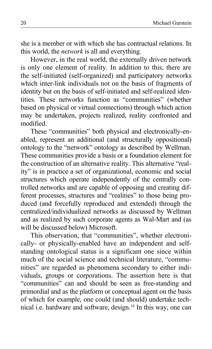she is a member or with which she has contractual relations. In this world, the *network* is all and everything.

However, in the real world, the externally driven network is only one element of reality. In addition to this, there are the self-initiated (self-organized) and participatory networks which inter-link individuals not on the basis of fragments of identity but on the basis of self-initiated and self-realized identities. These networks function as "communities" (whether based on physical or virtual connections) through which action may be undertaken, projects realized, reality confronted and modified.

These "communities" both physical and electronically-enabled, represent an additional (and structurally oppositional) ontology to the "network" ontology as described by Wellman. These communities provide a basis or a foundation element for the construction of an alternative reality. This alternative "reality" is in practice a set of organizational, economic and social structures which operate independently of the centrally controlled networks and are capable of opposing and creating different processes, structures and "realities" to those being produced (and forcefully reproduced and extended) through the centralized/individualized networks as discussed by Wellman and as realized by such corporate agents as Wal-Mart and (as will be discussed below) Microsoft.

This observation, that "communities", whether electronically- or physically-enabled have an independent and selfstanding ontological status is a significant one since within much of the social science and technical literature, "communities" are regarded as phenomena secondary to either individuals, groups or corporations. The assertion here is that "communities" can and should be seen as free-standing and primordial and as the platform or conceptual agent on the basis of which for example, one could (and should) undertake technical i.e. hardware and software, design.14 In this way, one can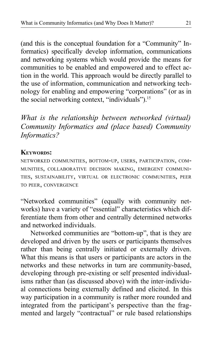(and this is the conceptual foundation for a "Community" Informatics) specifically develop information, communications and networking systems which would provide the means for communities to be enabled and empowered and to effect action in the world. This approach would be directly parallel to the use of information, communication and networking technology for enabling and empowering "corporations" (or as in the social networking context, "individuals").<sup>15</sup>

*What is the relationship between networked (virtual) Community Informatics and (place based) Community Informatics?*

## **KEYWORDS:**

NETWORKED COMMUNITIES, BOTTOM-UP, USERS, PARTICIPATION, COM-MUNITIES, COLLABORATIVE DECISION MAKING, EMERGENT COMMUNI-TIES, SUSTAINABILITY, VIRTUAL OR ELECTRONIC COMMUNITIES, PEER TO PEER, CONVERGENCE

"Networked communities" (equally with community networks) have a variety of "essential" characteristics which differentiate them from other and centrally determined networks and networked individuals.

Networked communities are "bottom-up", that is they are developed and driven by the users or participants themselves rather than being centrally initiated or externally driven. What this means is that users or participants are actors in the networks and these networks in turn are community-based, developing through pre-existing or self presented individualisms rather than (as discussed above) with the inter-individual connections being externally defined and elicited. In this way participation in a community is rather more rounded and integrated from the participant's perspective than the fragmented and largely "contractual" or rule based relationships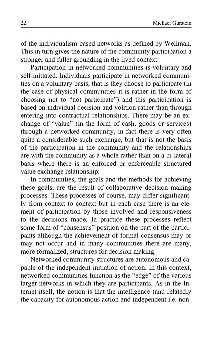of the individualism based networks as defined by Wellman. This in turn gives the nature of the community participation a stronger and fuller grounding in the lived context.

Participation in networked communities is voluntary and self-initiated. Individuals participate in networked communities on a voluntary basis, that is they choose to participate (in the case of physical communities it is rather in the form of choosing not to "not participate") and this participation is based on individual decision and volition rather than through entering into contractual relationships. There may be an exchange of "value" (in the form of cash, goods or services) through a networked community, in fact there is very often quite a considerable such exchange, but that is not the basis of the participation in the community and the relationships are with the community as a whole rather than on a bi-lateral basis where there is an enforced or enforceable structured value exchange relationship.

In communities, the goals and the methods for achieving these goals, are the result of collaborative decision making processes. These processes of course, may differ significantly from context to context but in each case there is an element of participation by those involved and responsiveness to the decisions made. In practice these processes reflect some form of "consensus" position on the part of the participants although the achievement of formal consensus may or may not occur and in many communities there are many, more formalized, structures for decision making.

Networked community structures are autonomous and capable of the independent initiation of action. In this context, networked communities function as the "edge" of the various larger networks in which they are participants. As in the Internet itself, the notion is that the intelligence (and relatedly the capacity for autonomous action and independent i.e. non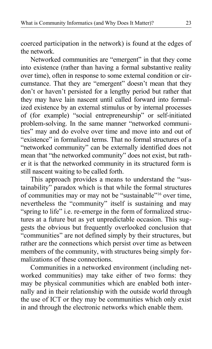coerced participation in the network) is found at the edges of the network.

Networked communities are "emergent" in that they come into existence (rather than having a formal substantive reality over time), often in response to some external condition or circumstance. That they are "emergent" doesn't mean that they don't or haven't persisted for a lengthy period but rather that they may have lain nascent until called forward into formalized existence by an external stimulus or by internal processes of (for example) "social entrepreneurship" or self-initiated problem-solving. In the same manner "networked communities" may and do evolve over time and move into and out of "existence" in formalized terms. That no formal structures of a "networked community" can be externally identified does not mean that "the networked community" does not exist, but rather it is that the networked community in its structured form is still nascent waiting to be called forth.

This approach provides a means to understand the "sustainability" paradox which is that while the formal structures of communities may or may not be "sustainable"16 over time, nevertheless the "community" itself is sustaining and may "spring to life" i.e. re-emerge in the form of formalized structures at a future but as yet unpredictable occasion. This suggests the obvious but frequently overlooked conclusion that "communities" are not defined simply by their structures, but rather are the connections which persist over time as between members of the community, with structures being simply formalizations of these connections.

Communities in a networked environment (including networked communities) may take either of two forms: they may be physical communities which are enabled both internally and in their relationship with the outside world through the use of ICT or they may be communities which only exist in and through the electronic networks which enable them.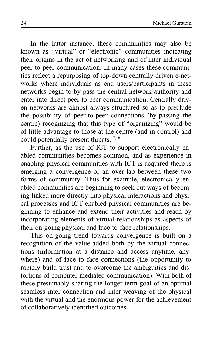In the latter instance, these communities may also be known as "virtual" or "electronic" communities indicating their origins in the act of networking and of inter-individual peer-to-peer communication. In many cases these communities reflect a repurposing of top-down centrally driven e-networks where individuals as end users/participants in these networks begin to by-pass the central network authority and enter into direct peer to peer communication. Centrally driven networks are almost always structured so as to preclude the possibility of peer-to-peer connections (by-passing the centre) recognizing that this type of "organizing" would be of little advantage to those at the centre (and in control) and could potentially present threats. $17,18$ 

Further, as the use of ICT to support electronically enabled communities becomes common, and as experience in enabling physical communities with ICT is acquired there is emerging a convergence or an over-lap between these two forms of community. Thus for example, electronically enabled communities are beginning to seek out ways of becoming linked more directly into physical interactions and physical processes and ICT enabled physical communities are beginning to enhance and extend their activities and reach by incorporating elements of virtual relationships as aspects of their on-going physical and face-to-face relationships.

This on-going trend towards convergence is built on a recognition of the value-added both by the virtual connections (information at a distance and access anytime, anywhere) and of face to face connections (the opportunity to rapidly build trust and to overcome the ambiguities and distortions of computer mediated communication). With both of these presumably sharing the longer term goal of an optimal seamless inter-connection and inter-weaving of the physical with the virtual and the enormous power for the achievement of collaboratively identified outcomes.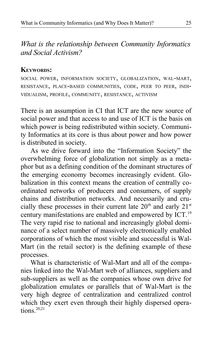*What is the relationship between Community Informatics and Social Activism?* 

## **KEYWORDS:**

SOCIAL POWER, INFORMATION SOCIETY, GLOBALIZATION, WAL-MART, RESISTANCE, PLACE-BASED COMMUNITIES, CODE, PEER TO PEER, INDI-VIDUALISM, PROFILE, COMMUNITY, RESISTANCE, ACTIVISM

There is an assumption in CI that ICT are the new source of social power and that access to and use of ICT is the basis on which power is being redistributed within society. Community Informatics at its core is thus about power and how power is distributed in society.

As we drive forward into the "Information Society" the overwhelming force of globalization not simply as a metaphor but as a defining condition of the dominant structures of the emerging economy becomes increasingly evident. Globalization in this context means the creation of centrally coordinated networks of producers and consumers, of supply chains and distribution networks. And necessarily and crucially these processes in their current late  $20<sup>th</sup>$  and early  $21<sup>st</sup>$ century manifestations are enabled and empowered by ICT.<sup>19</sup> The very rapid rise to national and increasingly global dominance of a select number of massively electronically enabled corporations of which the most visible and successful is Wal-Mart (in the retail sector) is the defining example of these processes.

What is characteristic of Wal-Mart and all of the companies linked into the Wal-Mart web of alliances, suppliers and sub-suppliers as well as the companies whose own drive for globalization emulates or parallels that of Wal-Mart is the very high degree of centralization and centralized control which they exert even through their highly dispersed operations.<sup>20,21</sup>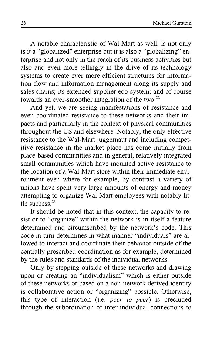A notable characteristic of Wal-Mart as well, is not only is it a "globalized" enterprise but it is also a "globalizing" enterprise and not only in the reach of its business activities but also and even more tellingly in the drive of its technology systems to create ever more efficient structures for information flow and information management along its supply and sales chains; its extended supplier eco-system; and of course towards an ever-smoother integration of the two. $22$ 

And yet, we are seeing manifestations of resistance and even coordinated resistance to these networks and their impacts and particularly in the context of physical communities throughout the US and elsewhere. Notably, the only effective resistance to the Wal-Mart juggernaut and including competitive resistance in the market place has come initially from place-based communities and in general, relatively integrated small communities which have mounted active resistance to the location of a Wal-Mart store within their immediate environment even where for example, by contrast a variety of unions have spent very large amounts of energy and money attempting to organize Wal-Mart employees with notably little success $23$ 

It should be noted that in this context, the capacity to resist or to "organize" within the network is in itself a feature determined and circumscribed by the network's code. This code in turn determines in what manner "individuals" are allowed to interact and coordinate their behavior outside of the centrally prescribed coordination as for example, determined by the rules and standards of the individual networks.

Only by stepping outside of these networks and drawing upon or creating an "individualism" which is either outside of these networks or based on a non-network derived identity is collaborative action or "organizing" possible. Otherwise, this type of interaction (i.e. *peer to peer*) is precluded through the subordination of inter-individual connections to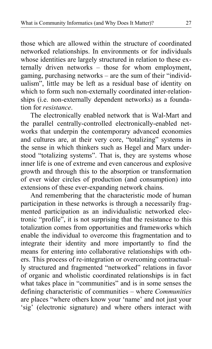those which are allowed within the structure of coordinated networked relationships. In environments or for individuals whose identities are largely structured in relation to these externally driven networks – those for whom employment, gaming, purchasing networks – are the sum of their "individualism", little may be left as a residual base of identity on which to form such non-externally coordinated inter-relationships (i.e. non-externally dependent networks) as a foundation for *resistance*.

The electronically enabled network that is Wal-Mart and the parallel centrally-controlled electronically-enabled networks that underpin the contemporary advanced economies and cultures are, at their very core, "totalizing" systems in the sense in which thinkers such as Hegel and Marx understood "totalizing systems". That is, they are systems whose inner life is one of extreme and even cancerous and explosive growth and through this to the absorption or transformation of ever wider circles of production (and consumption) into extensions of these ever-expanding network chains.

And remembering that the characteristic mode of human participation in these networks is through a necessarily fragmented participation as an individualistic networked electronic "profile", it is not surprising that the resistance to this totalization comes from opportunities and frameworks which enable the individual to overcome this fragmentation and to integrate their identity and more importantly to find the means for entering into collaborative relationships with others. This process of re-integration or overcoming contractually structured and fragmented "networked" relations in favor of organic and wholistic coordinated relationships is in fact what takes place in "communities" and is in some senses the defining characteristic of communities – where *Communities* are places "where others know your 'name' and not just your 'sig' (electronic signature) and where others interact with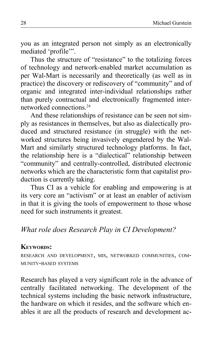you as an integrated person not simply as an electronically mediated 'profile'".

Thus the structure of "resistance" to the totalizing forces of technology and network-enabled market accumulation as per Wal-Mart is necessarily and theoretically (as well as in practice) the discovery or rediscovery of "community" and of organic and integrated inter-individual relationships rather than purely contractual and electronically fragmented internetworked connections.24

And these relationships of resistance can be seen not simply as resistances in themselves, but also as dialectically produced and structured resistance (in struggle) with the networked structures being invasively engendered by the Wal-Mart and similarly structured technology platforms. In fact, the relationship here is a "dialectical" relationship between "community" and centrally-controlled, distributed electronic networks which are the characteristic form that capitalist production is currently taking.

Thus CI as a vehicle for enabling and empowering is at its very core an "activism" or at least an enabler of activism in that it is giving the tools of empowerment to those whose need for such instruments it greatest.

## *What role does Research Play in CI Development?*

## **KEYWORDS:**

RESEARCH AND DEVELOPMENT, MIS, NETWORKED COMMUNITIES, COM-MUNITY-BASED SYSTEMS

Research has played a very significant role in the advance of centrally facilitated networking. The development of the technical systems including the basic network infrastructure, the hardware on which it resides, and the software which enables it are all the products of research and development ac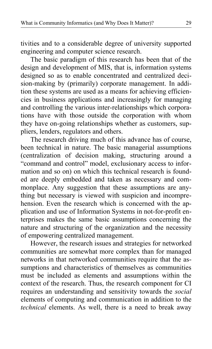tivities and to a considerable degree of university supported engineering and computer science research.

The basic paradigm of this research has been that of the design and development of MIS, that is, information systems designed so as to enable concentrated and centralized decision-making by (primarily) corporate management. In addition these systems are used as a means for achieving efficiencies in business applications and increasingly for managing and controlling the various inter-relationships which corporations have with those outside the corporation with whom they have on-going relationships whether as customers, suppliers, lenders, regulators and others.

The research driving much of this advance has of course, been technical in nature. The basic managerial assumptions (centralization of decision making, structuring around a "command and control" model, exclusionary access to information and so on) on which this technical research is founded are deeply embedded and taken as necessary and commonplace. Any suggestion that these assumptions are anything but necessary is viewed with suspicion and incomprehension. Even the research which is concerned with the application and use of Information Systems in not-for-profit enterprises makes the same basic assumptions concerning the nature and structuring of the organization and the necessity of empowering centralized management.

However, the research issues and strategies for networked communities are somewhat more complex than for managed networks in that networked communities require that the assumptions and characteristics of themselves as communities must be included as elements and assumptions within the context of the research. Thus, the research component for CI requires an understanding and sensitivity towards the *social* elements of computing and communication in addition to the *technical* elements. As well, there is a need to break away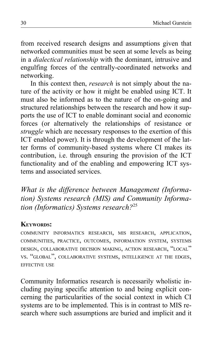from received research designs and assumptions given that networked communities must be seen at some levels as being in a *dialectical relationship* with the dominant, intrusive and engulfing forces of the centrally-coordinated networks and networking.

In this context then, *research* is not simply about the nature of the activity or how it might be enabled using ICT. It must also be informed as to the nature of the on-going and structured relationships between the research and how it supports the use of ICT to enable dominant social and economic forces (or alternatively the relationships of resistance or *struggle* which are necessary responses to the exertion of this ICT enabled power). It is through the development of the latter forms of community-based systems where CI makes its contribution, i.e. through ensuring the provision of the ICT functionality and of the enabling and empowering ICT systems and associated services.

*What is the difference between Management (Information) Systems research (MIS) and Community Information (Informatics) Systems research?*<sup>25</sup>

### **KEYWORDS:**

COMMUNITY INFORMATICS RESEARCH, MIS RESEARCH, APPLICATION, COMMUNITIES, PRACTICE, OUTCOMES, INFORMATION SYSTEM, SYSTEMS DESIGN, COLLABORATIVE DECISION MAKING, ACTION RESEARCH, "LOCAL" VS. "GLOBAL", COLLABORATIVE SYSTEMS, INTELLIGENCE AT THE EDGES, **EFFECTIVE USE** 

Community Informatics research is necessarily wholistic including paying specific attention to and being explicit concerning the particularities of the social context in which CI systems are to be implemented. This is in contrast to MIS research where such assumptions are buried and implicit and it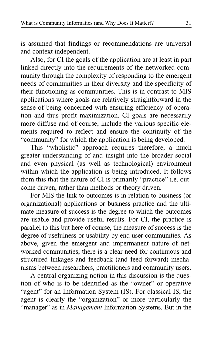is assumed that findings or recommendations are universal and context independent.

Also, for CI the goals of the application are at least in part linked directly into the requirements of the networked community through the complexity of responding to the emergent needs of communities in their diversity and the specificity of their functioning as communities. This is in contrast to MIS applications where goals are relatively straightforward in the sense of being concerned with ensuring efficiency of operation and thus profit maximization. CI goals are necessarily more diffuse and of course, include the various specific elements required to reflect and ensure the continuity of the "community" for which the application is being developed.

This "wholistic" approach requires therefore, a much greater understanding of and insight into the broader social and even physical (as well as technological) environment within which the application is being introduced. It follows from this that the nature of CI is primarily "practice" i.e. outcome driven, rather than methods or theory driven.

For MIS the link to outcomes is in relation to business (or organizational) applications or business practice and the ultimate measure of success is the degree to which the outcomes are usable and provide useful results. For CI, the practice is parallel to this but here of course, the measure of success is the degree of usefulness or usability by end user communities. As above, given the emergent and impermanent nature of networked communities, there is a clear need for continuous and structured linkages and feedback (and feed forward) mechanisms between researchers, practitioners and community users.

A central organizing notion in this discussion is the question of who is to be identified as the "owner" or operative "agent" for an Information System (IS). For classical IS, the agent is clearly the "organization" or more particularly the "manager" as in *Management* Information Systems. But in the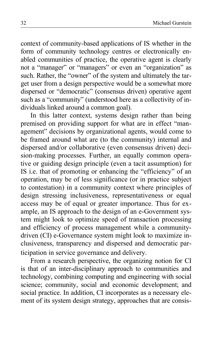context of community-based applications of IS whether in the form of community technology centres or electronically enabled communities of practice, the operative agent is clearly not a "manager" or "managers" or even an "organization" as such. Rather, the "owner" of the system and ultimately the target user from a design perspective would be a somewhat more dispersed or "democratic" (consensus driven) operative agent such as a "community" (understood here as a collectivity of individuals linked around a common goal).

In this latter context, systems design rather than being premised on providing support for what are in effect "management" decisions by organizational agents, would come to be framed around what are (to the community) internal and dispersed and/or collaborative (even consensus driven) decision-making processes. Further, an equally common operative or guiding design principle (even a tacit assumption) for IS i.e. that of promoting or enhancing the "efficiency" of an operation, may be of less significance (or in practice subject to contestation) in a community context where principles of design stressing inclusiveness, representativeness or equal access may be of equal or greater importance. Thus for example, an IS approach to the design of an e-Government system might look to optimize speed of transaction processing and efficiency of process management while a communitydriven (CI) e-Governance system might look to maximize inclusiveness, transparency and dispersed and democratic participation in service governance and delivery.

From a research perspective, the organizing notion for CI is that of an inter-disciplinary approach to communities and technology, combining computing and engineering with social science; community, social and economic development; and social practice. In addition, CI incorporates as a necessary element of its system design strategy, approaches that are consis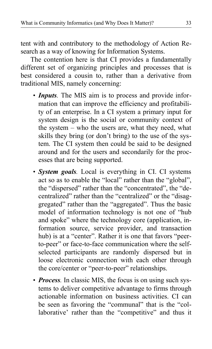tent with and contributory to the methodology of Action Research as a way of knowing for Information Systems.

The contention here is that CI provides a fundamentally different set of organizing principles and processes that is best considered a cousin to, rather than a derivative from traditional MIS, namely concerning:

- *Inputs*. The MIS aim is to process and provide information that can improve the efficiency and profitability of an enterprise. In a CI system a primary input for system design is the social or community context of the system – who the users are, what they need, what skills they bring (or don't bring) to the use of the system. The CI system then could be said to be designed around and for the users and secondarily for the processes that are being supported.
- À *System goals.* Local is everything in CI. CI systems act so as to enable the "local" rather than the "global", the "dispersed" rather than the "concentrated", the "decentralized" rather than the "centralized" or the "disaggregated" rather than the "aggregated". Thus the basic model of information technology is not one of "hub and spoke" where the technology core (application, information source, service provider, and transaction hub) is at a "center". Rather it is one that favors "peerto-peer" or face-to-face communication where the selfselected participants are randomly dispersed but in loose electronic connection with each other through the core/center or "peer-to-peer" relationships.
- *Process*. In classic MIS, the focus is on using such systems to deliver competitive advantage to firms through actionable information on business activities. CI can be seen as favoring the "communal" that is the "collaborative' rather than the "competitive" and thus it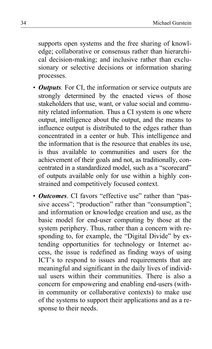supports open systems and the free sharing of knowledge; collaborative or consensus rather than hierarchical decision-making; and inclusive rather than exclusionary or selective decisions or information sharing processes.

- *Outputs*. For CI, the information or service outputs are strongly determined by the enacted views of those stakeholders that use, want, or value social and community related information. Thus a CI system is one where output, intelligence about the output, and the means to influence output is distributed to the edges rather than concentrated in a center or hub. This intelligence and the information that is the resource that enables its use, is thus available to communities and users for the achievement of their goals and not, as traditionally, concentrated in a standardized model, such as a "scorecard" of outputs available only for use within a highly constrained and competitively focused context.
- *Outcomes*. CI favors "effective use" rather than "passive access"; "production" rather than "consumption"; and information or knowledge creation and use, as the basic model for end-user computing by those at the system periphery. Thus, rather than a concern with responding to, for example, the "Digital Divide" by extending opportunities for technology or Internet access, the issue is redefined as finding ways of using ICT's to respond to issues and requirements that are meaningful and significant in the daily lives of individual users within their communities. There is also a concern for empowering and enabling end-users (within community or collaborative contexts) to make use of the systems to support their applications and as a response to their needs.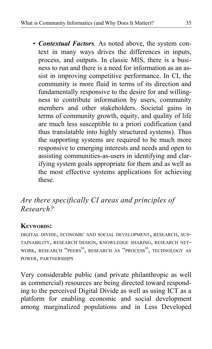• **Contextual Factors**. As noted above, the system context in many ways drives the differences in inputs, process, and outputs. In classic MIS, there is a business to run and there is a need for information as an assist in improving competitive performance. In CI, the community is more fluid in terms of its direction and fundamentally responsive to the desire for and willingness to contribute information by users, community members and other stakeholders. Societal gains in terms of community growth, equity, and quality of life are much less susceptible to a priori codification (and thus translatable into highly structured systems). Thus the supporting systems are required to be much more responsive to emerging interests and needs and open to assisting communities-as-users in identifying and clarifying system goals appropriate for them and as well as the most effective systems applications for achieving these.

## *Are there specifically CI areas and principles of Research?*

### **KEYWORDS:**

DIGITAL DIVIDE, ECONOMIC AND SOCIAL DEVELOPMENT, RESEARCH, SUS-TAINABILITY, RESEARCH DESIGN, KNOWLEDGE SHARING, RESEARCH NET-WORK, RESEARCH "PEERS", RESEARCH AS "PROCESS", TECHNOLOGY AS POWER, PARTNERSHIPS

Very considerable public (and private philanthropic as well as commercial) resources are being directed toward responding to the perceived Digital Divide as well as using ICT as a platform for enabling economic and social development among marginalized populations and in Less Developed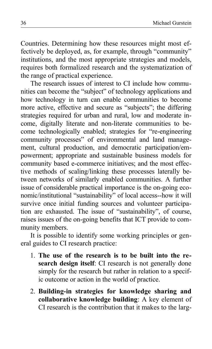Countries. Determining how these resources might most effectively be deployed, as, for example, through "community" institutions, and the most appropriate strategies and models, requires both formalized research and the systematization of the range of practical experience.

The research issues of interest to CI include how communities can become the "subject" of technology applications and how technology in turn can enable communities to become more active, effective and secure as "subjects"; the differing strategies required for urban and rural, low and moderate income, digitally literate and non-literate communities to become technologically enabled; strategies for "re-engineering community processes" of environmental and land management, cultural production, and democratic participation/empowerment; appropriate and sustainable business models for community based e-commerce initiatives; and the most effective methods of scaling/linking these processes laterally between networks of similarly enabled communities. A further issue of considerable practical importance is the on-going economic/institutional "sustainability" of local access--how it will survive once initial funding sources and volunteer participation are exhausted. The issue of "sustainability", of course, raises issues of the on-going benefits that ICT provide to community members.

It is possible to identify some working principles or general guides to CI research practice:

- 1. **The use of the research is to be built into the research design itself**: CI research is not generally done simply for the research but rather in relation to a specific outcome or action in the world of practice.
- 2. **Building-in strategies for knowledge sharing and collaborative knowledge building**: A key element of CI research is the contribution that it makes to the larg-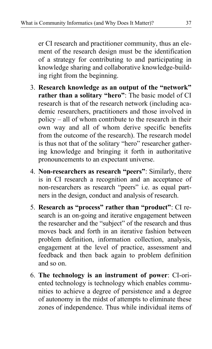er CI research and practitioner community, thus an element of the research design must be the identification of a strategy for contributing to and participating in knowledge sharing and collaborative knowledge-building right from the beginning.

- 3. **Research knowledge as an output of the "network" rather than a solitary "hero"**: The basic model of CI research is that of the research network (including academic researchers, practitioners and those involved in policy – all of whom contribute to the research in their own way and all of whom derive specific benefits from the outcome of the research). The research model is thus not that of the solitary "hero" researcher gathering knowledge and bringing it forth in authoritative pronouncements to an expectant universe.
- 4. **Non-researchers as research "peers"**: Similarly, there is in CI research a recognition and an acceptance of non-researchers as research "peers" i.e. as equal partners in the design, conduct and analysis of research.
- 5. **Research as "process" rather than "product"**: CI research is an on-going and iterative engagement between the researcher and the "subject" of the research and thus moves back and forth in an iterative fashion between problem definition, information collection, analysis, engagement at the level of practice, assessment and feedback and then back again to problem definition and so on.
- 6. **The technology is an instrument of power**: CI-oriented technology is technology which enables communities to achieve a degree of persistence and a degree of autonomy in the midst of attempts to eliminate these zones of independence. Thus while individual items of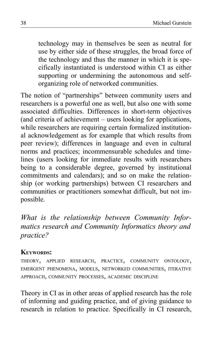technology may in themselves be seen as neutral for use by either side of these struggles, the broad force of the technology and thus the manner in which it is specifically instantiated is understood within CI as either supporting or undermining the autonomous and selforganizing role of networked communities.

The notion of "partnerships" between community users and researchers is a powerful one as well, but also one with some associated difficulties. Differences in short-term objectives (and criteria of achievement – users looking for applications, while researchers are requiring certain formalized institutional acknowledgement as for example that which results from peer review); differences in language and even in cultural norms and practices; incommensurable schedules and timelines (users looking for immediate results with researchers being to a considerable degree, governed by institutional commitments and calendars); and so on make the relationship (or working partnerships) between CI researchers and communities or practitioners somewhat difficult, but not impossible.

*What is the relationship between Community Informatics research and Community Informatics theory and practice?* 

### **KEYWORDS:**

THEORY, APPLIED RESEARCH, PRACTICE, COMMUNITY ONTOLOGY, EMERGENT PHENOMENA, MODELS, NETWORKED COMMUNITIES, ITERATIVE APPROACH, COMMUNITY PROCESSES, ACADEMIC DISCIPLINE

Theory in CI as in other areas of applied research has the role of informing and guiding practice, and of giving guidance to research in relation to practice. Specifically in CI research,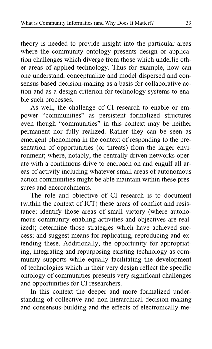theory is needed to provide insight into the particular areas where the community ontology presents design or application challenges which diverge from those which underlie other areas of applied technology. Thus for example, how can one understand, conceptualize and model dispersed and consensus based decision-making as a basis for collaborative action and as a design criterion for technology systems to enable such processes.

As well, the challenge of CI research to enable or empower "communities" as persistent formalized structures even though "communities" in this context may be neither permanent nor fully realized. Rather they can be seen as emergent phenomena in the context of responding to the presentation of opportunities (or threats) from the larger environment; where, notably, the centrally driven networks operate with a continuous drive to encroach on and engulf all areas of activity including whatever small areas of autonomous action communities might be able maintain within these pressures and encroachments.

The role and objective of CI research is to document (within the context of ICT) these areas of conflict and resistance; identify those areas of small victory (where autonomous community-enabling activities and objectives are realized); determine those strategies which have achieved success; and suggest means for replicating, reproducing and extending these. Additionally, the opportunity for appropriating, integrating and repurposing existing technology as community supports while equally facilitating the development of technologies which in their very design reflect the specific ontology of communities presents very significant challenges and opportunities for CI researchers.

In this context the deeper and more formalized understanding of collective and non-hierarchical decision-making and consensus-building and the effects of electronically me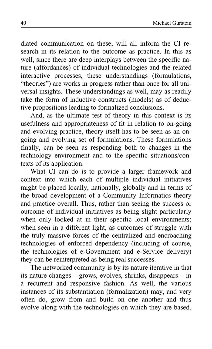diated communication on these, will all inform the CI research in its relation to the outcome as practice. In this as well, since there are deep interplays between the specific nature (affordances) of individual technologies and the related interactive processes, these understandings (formulations, "theories") are works in progress rather than once for all universal insights. These understandings as well, may as readily take the form of inductive constructs (models) as of deductive propositions leading to formalized conclusions.

And, as the ultimate test of theory in this context is its usefulness and appropriateness of fit in relation to on-going and evolving practice, theory itself has to be seen as an ongoing and evolving set of formulations. These formulations finally, can be seen as responding both to changes in the technology environment and to the specific situations/contexts of its application.

What CI can do is to provide a larger framework and context into which each of multiple individual initiatives might be placed locally, nationally, globally and in terms of the broad development of a Community Informatics theory and practice overall. Thus, rather than seeing the success or outcome of individual initiatives as being slight particularly when only looked at in their specific local environments; when seen in a different light, as outcomes of struggle with the truly massive forces of the centralized and encroaching technologies of enforced dependency (including of course, the technologies of e-Government and e-Service delivery) they can be reinterpreted as being real successes.

The networked community is by its nature iterative in that its nature changes – grows, evolves, shrinks, disappears – in a recurrent and responsive fashion. As well, the various instances of its substantiation (formalization) may, and very often do, grow from and build on one another and thus evolve along with the technologies on which they are based.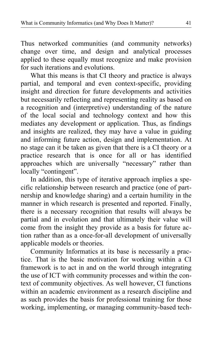Thus networked communities (and community networks) change over time, and design and analytical processes applied to these equally must recognize and make provision for such iterations and evolutions.

What this means is that CI theory and practice is always partial, and temporal and even context-specific, providing insight and direction for future developments and activities but necessarily reflecting and representing reality as based on a recognition and (interpretive) understanding of the nature of the local social and technology context and how this mediates any development or application. Thus, as findings and insights are realized, they may have a value in guiding and informing future action, design and implementation. At no stage can it be taken as given that there is a CI theory or a practice research that is once for all or has identified approaches which are universally "necessary" rather than locally "contingent".

In addition, this type of iterative approach implies a specific relationship between research and practice (one of partnership and knowledge sharing) and a certain humility in the manner in which research is presented and reported. Finally, there is a necessary recognition that results will always be partial and in evolution and that ultimately their value will come from the insight they provide as a basis for future action rather than as a once-for-all development of universally applicable models or theories.

Community Informatics at its base is necessarily a practice. That is the basic motivation for working within a CI framework is to act in and on the world through integrating the use of ICT with community processes and within the context of community objectives. As well however, CI functions within an academic environment as a research discipline and as such provides the basis for professional training for those working, implementing, or managing community-based tech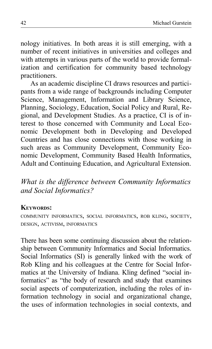nology initiatives. In both areas it is still emerging, with a number of recent initiatives in universities and colleges and with attempts in various parts of the world to provide formalization and certification for community based technology practitioners.

As an academic discipline CI draws resources and participants from a wide range of backgrounds including Computer Science, Management, Information and Library Science, Planning, Sociology, Education, Social Policy and Rural, Regional, and Development Studies. As a practice, CI is of interest to those concerned with Community and Local Economic Development both in Developing and Developed Countries and has close connections with those working in such areas as Community Development, Community Economic Development, Community Based Health Informatics, Adult and Continuing Education, and Agricultural Extension.

*What is the difference between Community Informatics and Social Informatics?* 

#### **KEYWORDS:**

COMMUNITY INFORMATICS, SOCIAL INFORMATICS, ROB KLING, SOCIETY, DESIGN, ACTIVISM, INFORMATICS

There has been some continuing discussion about the relationship between Community Informatics and Social Informatics. Social Informatics (SI) is generally linked with the work of Rob Kling and his colleagues at the Centre for Social Informatics at the University of Indiana. Kling defined "social informatics" as "the body of research and study that examines social aspects of computerization, including the roles of information technology in social and organizational change, the uses of information technologies in social contexts, and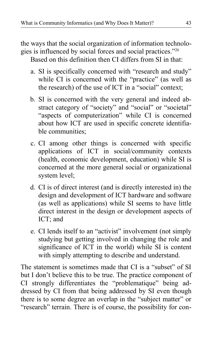the ways that the social organization of information technologies is influenced by social forces and social practices."26 Based on this definition then CI differs from SI in that:

- a. SI is specifically concerned with "research and study" while CI is concerned with the "practice" (as well as the research) of the use of ICT in a "social" context;
- b. SI is concerned with the very general and indeed abstract category of "society" and "social" or "societal" "aspects of computerization" while CI is concerned about how ICT are used in specific concrete identifiable communities;
- c. CI among other things is concerned with specific applications of ICT in social/community contexts (health, economic development, education) while SI is concerned at the more general social or organizational system level;
- d. CI is of direct interest (and is directly interested in) the design and development of ICT hardware and software (as well as applications) while SI seems to have little direct interest in the design or development aspects of ICT; and
- e. CI lends itself to an "activist" involvement (not simply studying but getting involved in changing the role and significance of ICT in the world) while SI is content with simply attempting to describe and understand.

The statement is sometimes made that CI is a "subset" of SI but I don't believe this to be true. The practice component of CI strongly differentiates the "problematique" being addressed by CI from that being addressed by SI even though there is to some degree an overlap in the "subject matter" or "research" terrain. There is of course, the possibility for con-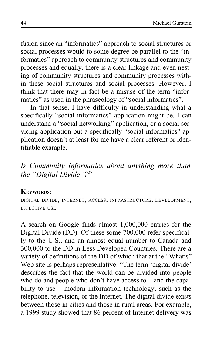fusion since an "informatics" approach to social structures or social processes would to some degree be parallel to the "informatics" approach to community structures and community processes and equally, there is a clear linkage and even nesting of community structures and community processes within these social structures and social processes. However, I think that there may in fact be a misuse of the term "informatics" as used in the phraseology of "social informatics".

In that sense, I have difficulty in understanding what a specifically "social informatics" application might be. I can understand a "social networking" application, or a social servicing application but a specifically "social informatics" application doesn't at least for me have a clear referent or identifiable example.

### *Is Community Informatics about anything more than the "Digital Divide"?*<sup>27</sup>

### **KEYWORDS:**

DIGITAL DIVIDE, INTERNET, ACCESS, INFRASTRUCTURE, DEVELOPMENT, EFFECTIVE USE

A search on Google finds almost 1,000,000 entries for the Digital Divide (DD). Of these some 700,000 refer specifically to the U.S., and an almost equal number to Canada and 300,000 to the DD in Less Developed Countries. There are a variety of definitions of the DD of which that at the "Whatis" Web site is perhaps representative: "The term 'digital divide' describes the fact that the world can be divided into people who do and people who don't have access to – and the capability to use – modern information technology, such as the telephone, television, or the Internet. The digital divide exists between those in cities and those in rural areas. For example, a 1999 study showed that 86 percent of Internet delivery was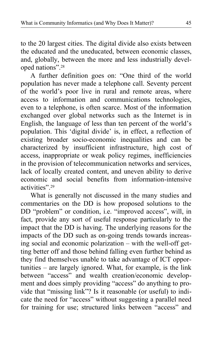to the 20 largest cities. The digital divide also exists between the educated and the uneducated, between economic classes, and, globally, between the more and less industrially developed nations".28

A further definition goes on: "One third of the world population has never made a telephone call. Seventy percent of the world's poor live in rural and remote areas, where access to information and communications technologies, even to a telephone, is often scarce. Most of the information exchanged over global networks such as the Internet is in English, the language of less than ten percent of the world's population. This 'digital divide' is, in effect, a reflection of existing broader socio-economic inequalities and can be characterized by insufficient infrastructure, high cost of access, inappropriate or weak policy regimes, inefficiencies in the provision of telecommunication networks and services, lack of locally created content, and uneven ability to derive economic and social benefits from information-intensive activities"<sup>29</sup>

What is generally not discussed in the many studies and commentaries on the DD is how proposed solutions to the DD "problem" or condition, i.e. "improved access", will, in fact, provide any sort of useful response particularly to the impact that the DD is having. The underlying reasons for the impacts of the DD such as on-going trends towards increasing social and economic polarization – with the well-off getting better off and those behind falling even further behind as they find themselves unable to take advantage of ICT opportunities – are largely ignored. What, for example, is the link between "access" and wealth creation/economic development and does simply providing "access" do anything to provide that "missing link"? Is it reasonable (or useful) to indicate the need for "access" without suggesting a parallel need for training for use; structured links between "access" and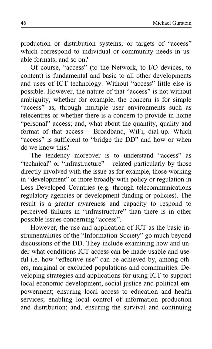production or distribution systems; or targets of "access" which correspond to individual or community needs in usable formats; and so on?

Of course, "access" (to the Network, to I/O devices, to content) is fundamental and basic to all other developments and uses of ICT technology. Without "access" little else is possible. However, the nature of that "access" is not without ambiguity, whether for example, the concern is for simple "access" as, through multiple user environments such as telecentres or whether there is a concern to provide in-home "personal" access; and, what about the quantity, quality and format of that access – Broadband, WiFi, dial-up. Which "access" is sufficient to "bridge the DD" and how or when do we know this?

The tendency moreover is to understand "access" as "technical" or "infrastructure" – related particularly by those directly involved with the issue as for example, those working in "development" or more broadly with policy or regulation in Less Developed Countries (e.g. through telecommunications regulatory agencies or development funding or policies). The result is a greater awareness and capacity to respond to perceived failures in "infrastructure" than there is in other possible issues concerning "access".

However, the use and application of ICT as the basic instrumentalities of the "Information Society" go much beyond discussions of the DD. They include examining how and under what conditions ICT access can be made usable and useful i.e. how "effective use" can be achieved by, among others, marginal or excluded populations and communities. Developing strategies and applications for using ICT to support local economic development, social justice and political empowerment; ensuring local access to education and health services; enabling local control of information production and distribution; and, ensuring the survival and continuing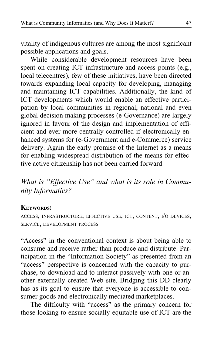vitality of indigenous cultures are among the most significant possible applications and goals.

While considerable development resources have been spent on creating ICT infrastructure and access points (e.g., local telecentres), few of these initiatives, have been directed towards expanding local capacity for developing, managing and maintaining ICT capabilities. Additionally, the kind of ICT developments which would enable an effective participation by local communities in regional, national and even global decision making processes (e-Governance) are largely ignored in favour of the design and implementation of efficient and ever more centrally controlled if electronically enhanced systems for (e-Government and e-Commerce) service delivery. Again the early promise of the Internet as a means for enabling widespread distribution of the means for effective active citizenship has not been carried forward.

*What is "Effective Use" and what is its role in Community Informatics?* 

### **KEYWORDS:**

ACCESS, INFRASTRUCTURE, EFFECTIVE USE, ICT, CONTENT, I/O DEVICES, SERVICE, DEVELOPMENT PROCESS

"Access" in the conventional context is about being able to consume and receive rather than produce and distribute. Participation in the "Information Society" as presented from an "access" perspective is concerned with the capacity to purchase, to download and to interact passively with one or another externally created Web site. Bridging this DD clearly has as its goal to ensure that everyone is accessible to consumer goods and electronically mediated marketplaces.

The difficulty with "access" as the primary concern for those looking to ensure socially equitable use of ICT are the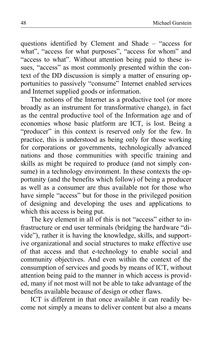questions identified by Clement and Shade – "access for what", "access for what purposes", "access for whom" and "access to what". Without attention being paid to these issues, "access" as most commonly presented within the context of the DD discussion is simply a matter of ensuring opportunities to passively "consume" Internet enabled services and Internet supplied goods or information.

The notions of the Internet as a productive tool (or more broadly as an instrument for transformative change), in fact as the central productive tool of the Information age and of economies whose basic platform are ICT, is lost. Being a "producer" in this context is reserved only for the few. In practice, this is understood as being only for those working for corporations or governments, technologically advanced nations and those communities with specific training and skills as might be required to produce (and not simply consume) in a technology environment. In these contexts the opportunity (and the benefits which follow) of being a producer as well as a consumer are thus available not for those who have simple "access" but for those in the privileged position of designing and developing the uses and applications to which this access is being put.

The key element in all of this is not "access" either to infrastructure or end user terminals (bridging the hardware "divide"), rather it is having the knowledge, skills, and supportive organizational and social structures to make effective use of that access and that e-technology to enable social and community objectives. And even within the context of the consumption of services and goods by means of ICT, without attention being paid to the manner in which access is provided, many if not most will not be able to take advantage of the benefits available because of design or other flaws.

ICT is different in that once available it can readily become not simply a means to deliver content but also a means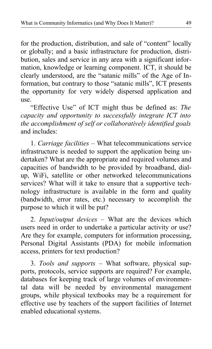for the production, distribution, and sale of "content" locally or globally; and a basic infrastructure for production, distribution, sales and service in any area with a significant information, knowledge or learning component. ICT, it should be clearly understood, are the "satanic mills" of the Age of Information, but contrary to those "satanic mills", ICT presents the opportunity for very widely dispersed application and use.

"Effective Use" of ICT might thus be defined as: *The capacity and opportunity to successfully integrate ICT into the accomplishment of self or collaboratively identified goals* and includes:

1. *Carriage facilities –* What telecommunications service infrastructure is needed to support the application being undertaken? What are the appropriate and required volumes and capacities of bandwidth to be provided by broadband, dialup, WiFi, satellite or other networked telecommunications services? What will it take to ensure that a supportive technology infrastructure is available in the form and quality (bandwidth, error rates, etc.) necessary to accomplish the purpose to which it will be put?

2. *Input/output devices –* What are the devices which users need in order to undertake a particular activity or use? Are they for example, computers for information processing, Personal Digital Assistants (PDA) for mobile information access, printers for text production?

3. *Tools and supports –* What software, physical supports, protocols, service supports are required? For example, databases for keeping track of large volumes of environmental data will be needed by environmental management groups, while physical textbooks may be a requirement for effective use by teachers of the support facilities of Internet enabled educational systems.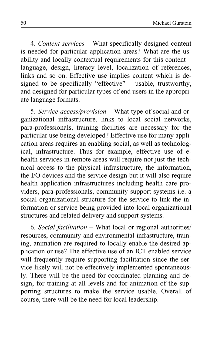4. *Content services –* What specifically designed content is needed for particular application areas? What are the usability and locally contextual requirements for this content *–* language, design, literacy level, localization of references, links and so on. Effective use implies content which is designed to be specifically "effective" *–* usable, trustworthy, and designed for particular types of end users in the appropriate language formats.

5. *Service access/provision –* What type of social and organizational infrastructure, links to local social networks, para-professionals, training facilities are necessary for the particular use being developed? Effective use for many application areas requires an enabling social, as well as technological, infrastructure. Thus for example, effective use of ehealth services in remote areas will require not just the technical access to the physical infrastructure, the information, the I/O devices and the service design but it will also require health application infrastructures including health care providers, para-professionals, community support systems i.e. a social organizational structure for the service to link the information or service being provided into local organizational structures and related delivery and support systems.

6. *Social facilitation –* What local or regional authorities/ resources, community and environmental infrastructure, training, animation are required to locally enable the desired application or use? The effective use of an ICT enabled service will frequently require supporting facilitation since the service likely will not be effectively implemented spontaneously. There will be the need for coordinated planning and design, for training at all levels and for animation of the supporting structures to make the service usable. Overall of course, there will be the need for local leadership.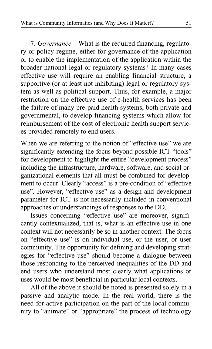7. *Governance –* What is the required financing, regulatory or policy regime, either for governance of the application or to enable the implementation of the application within the broader national legal or regulatory systems? In many cases effective use will require an enabling financial structure, a supportive (or at least not inhibiting) legal or regulatory system as well as political support. Thus, for example, a major restriction on the effective use of e-health services has been the failure of many pre-paid health systems, both private and governmental, to develop financing systems which allow for reimbursement of the cost of electronic health support services provided remotely to end users.

When we are referring to the notion of "effective use" we are significantly extending the focus beyond possible ICT "tools" for development to highlight the entire "development process" including the infrastructure, hardware, software, and social organizational elements that all must be combined for development to occur. Clearly "access" is a pre-condition of "effective use". However, "effective use" as a design and development parameter for ICT is not necessarily included in conventional approaches or understandings of responses to the DD.

Issues concerning "effective use" are moreover, significantly contextualized, that is, what is an effective use in one context will not necessarily be so in another context. The focus on "effective use" is on individual use, or the user, or user community. The opportunity for defining and developing strategies for "effective use" should become a dialogue between those responding to the perceived inequalities of the DD and end users who understand most clearly what applications or uses would be most beneficial in particular local contexts.

All of the above it should be noted is presented solely in a passive and analytic mode. In the real world, there is the need for active participation on the part of the local community to "animate" or "appropriate" the process of technology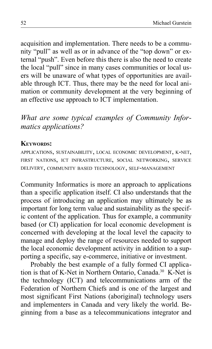acquisition and implementation. There needs to be a community "pull" as well as or in advance of the "top down" or external "push". Even before this there is also the need to create the local "pull" since in many cases communities or local users will be unaware of what types of opportunities are available through ICT. Thus, there may be the need for local animation or community development at the very beginning of an effective use approach to ICT implementation.

*What are some typical examples of Community Informatics applications?* 

### **KEYWORDS:**

APPLICATIONS, SUSTAINABILITY, LOCAL ECONOMIC DEVELOPMENT, K-NET, FIRST NATIONS, ICT INFRASTRUCTURE, SOCIAL NETWORKING, SERVICE DELIVERY, COMMUNITY BASED TECHNOLOGY, SELF-MANAGEMENT

Community Informatics is more an approach to applications than a specific application itself. CI also understands that the process of introducing an application may ultimately be as important for long term value and sustainability as the specific content of the application. Thus for example, a community based (or CI) application for local economic development is concerned with developing at the local level the capacity to manage and deploy the range of resources needed to support the local economic development activity in addition to a supporting a specific, say e-commerce, initiative or investment.

Probably the best example of a fully formed CI application is that of K-Net in Northern Ontario, Canada.<sup>30</sup> K-Net is the technology (ICT) and telecommunications arm of the Federation of Northern Chiefs and is one of the largest and most significant First Nations (aboriginal) technology users and implementers in Canada and very likely the world. Beginning from a base as a telecommunications integrator and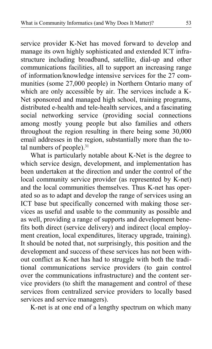service provider K-Net has moved forward to develop and manage its own highly sophisticated and extended ICT infrastructure including broadband, satellite, dial-up and other communications facilities, all to support an increasing range of information/knowledge intensive services for the 27 communities (some 27,000 people) in Northern Ontario many of which are only accessible by air. The services include a K-Net sponsored and managed high school, training programs, distributed e-health and tele-health services, and a fascinating social networking service (providing social connections among mostly young people but also families and others throughout the region resulting in there being some 30,000 email addresses in the region, substantially more than the total numbers of people). $31$ 

What is particularly notable about K-Net is the degree to which service design, development, and implementation has been undertaken at the direction and under the control of the local community service provider (as represented by K-net) and the local communities themselves. Thus K-net has operated so as to adapt and develop the range of services using an ICT base but specifically concerned with making those services as useful and usable to the community as possible and as well, providing a range of supports and development benefits both direct (service delivery) and indirect (local employment creation, local expenditures, literacy upgrade, training). It should be noted that, not surprisingly, this position and the development and success of these services has not been without conflict as K-net has had to struggle with both the traditional communications service providers (to gain control over the communications infrastructure) and the content service providers (to shift the management and control of these services from centralized service providers to locally based services and service managers).

K-net is at one end of a lengthy spectrum on which many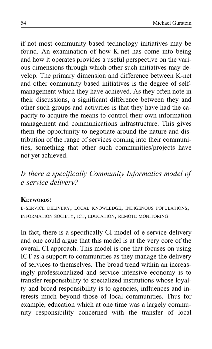if not most community based technology initiatives may be found. An examination of how K-net has come into being and how it operates provides a useful perspective on the various dimensions through which other such initiatives may develop. The primary dimension and difference between K-net and other community based initiatives is the degree of selfmanagement which they have achieved. As they often note in their discussions, a significant difference between they and other such groups and activities is that they have had the capacity to acquire the means to control their own information management and communications infrastructure. This gives them the opportunity to negotiate around the nature and distribution of the range of services coming into their communities, something that other such communities/projects have not yet achieved.

*Is there a specifically Community Informatics model of e-service delivery?* 

#### **KEYWORDS:**

E-SERVICE DELIVERY, LOCAL KNOWLEDGE, INDIGENOUS POPULATIONS, INFORMATION SOCIETY, ICT, EDUCATION, REMOTE MONITORING

In fact, there is a specifically CI model of e-service delivery and one could argue that this model is at the very core of the overall CI approach. This model is one that focuses on using ICT as a support to communities as they manage the delivery of services to themselves. The broad trend within an increasingly professionalized and service intensive economy is to transfer responsibility to specialized institutions whose loyalty and broad responsibility is to agencies, influences and interests much beyond those of local communities. Thus for example, education which at one time was a largely community responsibility concerned with the transfer of local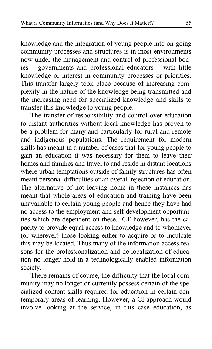knowledge and the integration of young people into on-going community processes and structures is in most environments now under the management and control of professional bodies – governments and professional educators – with little knowledge or interest in community processes or priorities. This transfer largely took place because of increasing complexity in the nature of the knowledge being transmitted and the increasing need for specialized knowledge and skills to transfer this knowledge to young people.

The transfer of responsibility and control over education to distant authorities without local knowledge has proven to be a problem for many and particularly for rural and remote and indigenous populations. The requirement for modern skills has meant in a number of cases that for young people to gain an education it was necessary for them to leave their homes and families and travel to and reside in distant locations where urban temptations outside of family structures has often meant personal difficulties or an overall rejection of education. The alternative of not leaving home in these instances has meant that whole areas of education and training have been unavailable to certain young people and hence they have had no access to the employment and self-development opportunities which are dependent on these. ICT however, has the capacity to provide equal access to knowledge and to whomever (or wherever) those looking either to acquire or to inculcate this may be located. Thus many of the information access reasons for the professionalization and de-localization of education no longer hold in a technologically enabled information society.

There remains of course, the difficulty that the local community may no longer or currently possess certain of the specialized content skills required for education in certain contemporary areas of learning. However, a CI approach would involve looking at the service, in this case education, as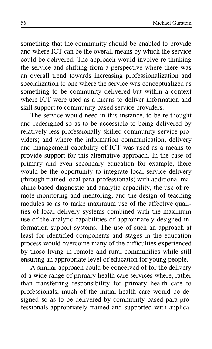something that the community should be enabled to provide and where ICT can be the overall means by which the service could be delivered. The approach would involve re-thinking the service and shifting from a perspective where there was an overall trend towards increasing professionalization and specialization to one where the service was conceptualized as something to be community delivered but within a context where ICT were used as a means to deliver information and skill support to community based service providers.

The service would need in this instance, to be re-thought and redesigned so as to be accessible to being delivered by relatively less professionally skilled community service providers; and where the information communication, delivery and management capability of ICT was used as a means to provide support for this alternative approach. In the case of primary and even secondary education for example, there would be the opportunity to integrate local service delivery (through trained local para-professionals) with additional machine based diagnostic and analytic capability, the use of remote monitoring and mentoring, and the design of teaching modules so as to make maximum use of the affective qualities of local delivery systems combined with the maximum use of the analytic capabilities of appropriately designed information support systems. The use of such an approach at least for identified components and stages in the education process would overcome many of the difficulties experienced by those living in remote and rural communities while still ensuring an appropriate level of education for young people.

A similar approach could be conceived of for the delivery of a wide range of primary health care services where, rather than transferring responsibility for primary health care to professionals, much of the initial health care would be designed so as to be delivered by community based para-professionals appropriately trained and supported with applica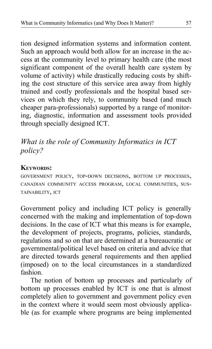tion designed information systems and information content. Such an approach would both allow for an increase in the access at the community level to primary health care (the most significant component of the overall health care system by volume of activity) while drastically reducing costs by shifting the cost structure of this service area away from highly trained and costly professionals and the hospital based services on which they rely, to community based (and much cheaper para-professionals) supported by a range of monitoring, diagnostic, information and assessment tools provided through specially designed ICT.

# *What is the role of Community Informatics in ICT policy?*

### **KEYWORDS:**

GOVERNMENT POLICY, TOP-DOWN DECISIONS, BOTTOM UP PROCESSES, CANADIAN COMMUNITY ACCESS PROGRAM, LOCAL COMMUNITIES, SUS-TAINABILITY, ICT

Government policy and including ICT policy is generally concerned with the making and implementation of top-down decisions. In the case of ICT what this means is for example, the development of projects, programs, policies, standards, regulations and so on that are determined at a bureaucratic or governmental/political level based on criteria and advice that are directed towards general requirements and then applied (imposed) on to the local circumstances in a standardized fashion.

The notion of bottom up processes and particularly of bottom up processes enabled by ICT is one that is almost completely alien to government and government policy even in the context where it would seem most obviously applicable (as for example where programs are being implemented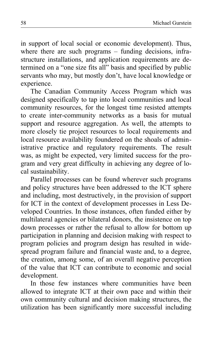in support of local social or economic development). Thus, where there are such programs – funding decisions, infrastructure installations, and application requirements are determined on a "one size fits all" basis and specified by public servants who may, but mostly don't, have local knowledge or experience.

The Canadian Community Access Program which was designed specifically to tap into local communities and local community resources, for the longest time resisted attempts to create inter-community networks as a basis for mutual support and resource aggregation. As well, the attempts to more closely tie project resources to local requirements and local resource availability foundered on the shoals of administrative practice and regulatory requirements. The result was, as might be expected, very limited success for the program and very great difficulty in achieving any degree of local sustainability.

Parallel processes can be found wherever such programs and policy structures have been addressed to the ICT sphere and including, most destructively, in the provision of support for ICT in the context of development processes in Less Developed Countries. In those instances, often funded either by multilateral agencies or bilateral donors, the insistence on top down processes or rather the refusal to allow for bottom up participation in planning and decision making with respect to program policies and program design has resulted in widespread program failure and financial waste and, to a degree, the creation, among some, of an overall negative perception of the value that ICT can contribute to economic and social development.

In those few instances where communities have been allowed to integrate ICT at their own pace and within their own community cultural and decision making structures, the utilization has been significantly more successful including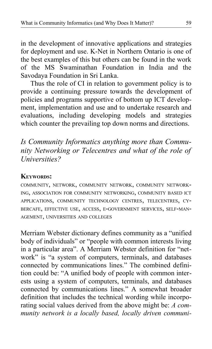in the development of innovative applications and strategies for deployment and use. K-Net in Northern Ontario is one of the best examples of this but others can be found in the work of the MS Swaminathan Foundation in India and the Savodaya Foundation in Sri Lanka.

Thus the role of CI in relation to government policy is to provide a continuing pressure towards the development of policies and programs supportive of bottom up ICT development, implementation and use and to undertake research and evaluations, including developing models and strategies which counter the prevailing top down norms and directions.

*Is Community Informatics anything more than Community Networking or Telecentres and what of the role of Universities?* 

### **KEYWORDS:**

COMMUNITY, NETWORK, COMMUNITY NETWORK, COMMUNITY NETWORK-ING, ASSOCIATION FOR COMMUNITY NETWORKING, COMMUNITY BASED ICT APPLICATIONS, COMMUNITY TECHNOLOGY CENTRES, TELECENTRES, CY-BERCAFE, EFFECTIVE USE, ACCESS, E-GOVERNMENT SERVICES, SELF-MAN-AGEMENT, UNIVERSITIES AND COLLEGES

Merriam Webster dictionary defines community as a "unified body of individuals" or "people with common interests living in a particular area". A Merriam Webster definition for "network" is "a system of computers, terminals, and databases connected by communications lines." The combined definition could be: "A unified body of people with common interests using a system of computers, terminals, and databases connected by communications lines." A somewhat broader definition that includes the technical wording while incorporating social values derived from the above might be: *A community network is a locally based, locally driven communi-*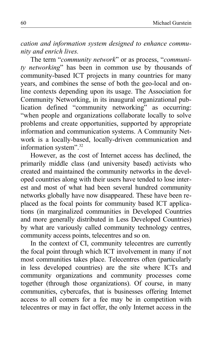*cation and information system designed to enhance community and enrich lives.*

The term "*community network*" or as process, "*community networking*" has been in common use by thousands of community-based ICT projects in many countries for many years, and combines the sense of both the geo-local and online contexts depending upon its usage. The Association for Community Networking, in its inaugural organizational publication defined "community networking" as occurring: "when people and organizations collaborate locally to solve problems and create opportunities, supported by appropriate information and communication systems. A Community Network is a locally-based, locally-driven communication and information system".32

However, as the cost of Internet access has declined, the primarily middle class (and university based) activists who created and maintained the community networks in the developed countries along with their users have tended to lose interest and most of what had been several hundred community networks globally have now disappeared. These have been replaced as the focal points for community based ICT applications (in marginalized communities in Developed Countries and more generally distributed in Less Developed Countries) by what are variously called community technology centres, community access points, telecentres and so on.

In the context of CI, community telecentres are currently the focal point through which ICT involvement in many if not most communities takes place. Telecentres often (particularly in less developed countries) are the site where ICTs and community organizations and community processes come together (through those organizations). Of course, in many communities, cybercafes, that is businesses offering Internet access to all comers for a fee may be in competition with telecentres or may in fact offer, the only Internet access in the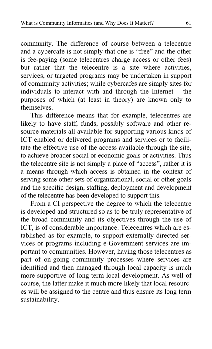community. The difference of course between a telecentre and a cybercafe is not simply that one is "free" and the other is fee-paying (some telecentres charge access or other fees) but rather that the telecentre is a site where activities, services, or targeted programs may be undertaken in support of community activities; while cybercafes are simply sites for individuals to interact with and through the Internet – the purposes of which (at least in theory) are known only to themselves.

This difference means that for example, telecentres are likely to have staff, funds, possibly software and other resource materials all available for supporting various kinds of ICT enabled or delivered programs and services or to facilitate the effective use of the access available through the site, to achieve broader social or economic goals or activities. Thus the telecentre site is not simply a place of "access", rather it is a means through which access is obtained in the context of serving some other sets of organizational, social or other goals and the specific design, staffing, deployment and development of the telecentre has been developed to support this.

From a CI perspective the degree to which the telecentre is developed and structured so as to be truly representative of the broad community and its objectives through the use of ICT, is of considerable importance. Telecentres which are established as for example, to support externally directed services or programs including e-Government services are important to communities. However, having those telecentres as part of on-going community processes where services are identified and then managed through local capacity is much more supportive of long term local development. As well of course, the latter make it much more likely that local resources will be assigned to the centre and thus ensure its long term sustainability.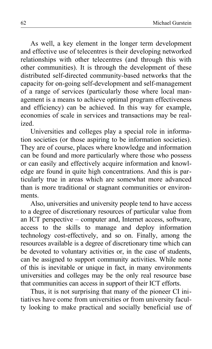As well, a key element in the longer term development and effective use of telecentres is their developing networked relationships with other telecentres (and through this with other communities). It is through the development of these distributed self-directed community-based networks that the capacity for on-going self-development and self-management of a range of services (particularly those where local management is a means to achieve optimal program effectiveness and efficiency) can be achieved. In this way for example, economies of scale in services and transactions may be realized.

Universities and colleges play a special role in information societies (or those aspiring to be information societies). They are of course, places where knowledge and information can be found and more particularly where those who possess or can easily and effectively acquire information and knowledge are found in quite high concentrations. And this is particularly true in areas which are somewhat more advanced than is more traditional or stagnant communities or environments.

Also, universities and university people tend to have access to a degree of discretionary resources of particular value from an ICT perspective – computer and, Internet access, software, access to the skills to manage and deploy information technology cost-effectively, and so on. Finally, among the resources available is a degree of discretionary time which can be devoted to voluntary activities or, in the case of students, can be assigned to support community activities. While none of this is inevitable or unique in fact, in many environments universities and colleges may be the only real resource base that communities can access in support of their ICT efforts.

Thus, it is not surprising that many of the pioneer CI initiatives have come from universities or from university faculty looking to make practical and socially beneficial use of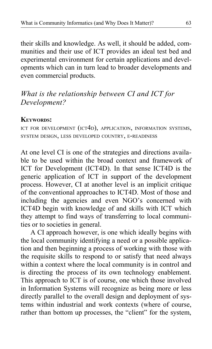their skills and knowledge. As well, it should be added, communities and their use of ICT provides an ideal test bed and experimental environment for certain applications and developments which can in turn lead to broader developments and even commercial products.

## *What is the relationship between CI and ICT for Development?*

#### **KEYWORDS:**

ICT FOR DEVELOPMENT (ICT4D), APPLICATION, INFORMATION SYSTEMS, SYSTEM DESIGN, LESS DEVELOPED COUNTRY, E-READINESS

At one level CI is one of the strategies and directions available to be used within the broad context and framework of ICT for Development (ICT4D). In that sense ICT4D is the generic application of ICT in support of the development process. However, CI at another level is an implicit critique of the conventional approaches to ICT4D. Most of those and including the agencies and even NGO's concerned with ICT4D begin with knowledge of and skills with ICT which they attempt to find ways of transferring to local communities or to societies in general.

A CI approach however, is one which ideally begins with the local community identifying a need or a possible application and then beginning a process of working with those with the requisite skills to respond to or satisfy that need always within a context where the local community is in control and is directing the process of its own technology enablement. This approach to ICT is of course, one which those involved in Information Systems will recognize as being more or less directly parallel to the overall design and deployment of systems within industrial and work contexts (where of course, rather than bottom up processes, the "client" for the system,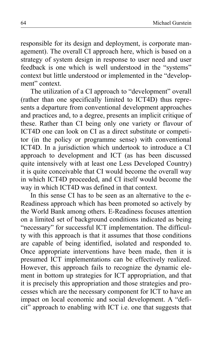responsible for its design and deployment, is corporate management). The overall CI approach here, which is based on a strategy of system design in response to user need and user feedback is one which is well understood in the "systems" context but little understood or implemented in the "development" context.

The utilization of a CI approach to "development" overall (rather than one specifically limited to ICT4D) thus represents a departure from conventional development approaches and practices and, to a degree, presents an implicit critique of these. Rather than CI being only one variety or flavour of ICT4D one can look on CI as a direct substitute or competitor (in the policy or programme sense) with conventional ICT4D. In a jurisdiction which undertook to introduce a CI approach to development and ICT (as has been discussed quite intensively with at least one Less Developed Country) it is quite conceivable that CI would become the overall way in which ICT4D proceeded, and CI itself would become the way in which ICT4D was defined in that context.

In this sense CI has to be seen as an alternative to the e-Readiness approach which has been promoted so actively by the World Bank among others. E-Readiness focuses attention on a limited set of background conditions indicated as being "necessary" for successful ICT implementation. The difficulty with this approach is that it assumes that those conditions are capable of being identified, isolated and responded to. Once appropriate interventions have been made, then it is presumed ICT implementations can be effectively realized. However, this approach fails to recognize the dynamic element in bottom up strategies for ICT appropriation, and that it is precisely this appropriation and those strategies and processes which are the necessary component for ICT to have an impact on local economic and social development. A "deficit" approach to enabling with ICT i.e. one that suggests that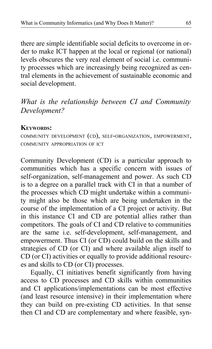there are simple identifiable social deficits to overcome in order to make ICT happen at the local or regional (or national) levels obscures the very real element of social i.e. community processes which are increasingly being recognized as central elements in the achievement of sustainable economic and social development.

*What is the relationship between CI and Community Development?* 

#### **KEYWORDS:**

COMMUNITY DEVELOPMENT (CD), SELF-ORGANIZATION, EMPOWERMENT, COMMUNITY APPROPRIATION OF ICT

Community Development (CD) is a particular approach to communities which has a specific concern with issues of self-organization, self-management and power. As such CD is to a degree on a parallel track with CI in that a number of the processes which CD might undertake within a community might also be those which are being undertaken in the course of the implementation of a CI project or activity. But in this instance CI and CD are potential allies rather than competitors. The goals of CI and CD relative to communities are the same i.e. self-development, self-management, and empowerment. Thus CI (or CD) could build on the skills and strategies of CD (or CI) and where available align itself to CD (or CI) activities or equally to provide additional resources and skills to CD (or CI) processes.

Equally, CI initiatives benefit significantly from having access to CD processes and CD skills within communities and CI applications/implementations can be most effective (and least resource intensive) in their implementation where they can build on pre-existing CD activities. In that sense then CI and CD are complementary and where feasible, syn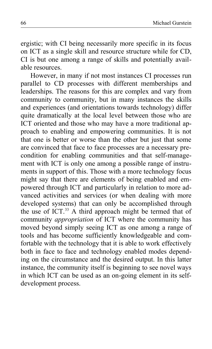ergistic; with CI being necessarily more specific in its focus on ICT as a single skill and resource structure while for CD, CI is but one among a range of skills and potentially available resources.

However, in many if not most instances CI processes run parallel to CD processes with different memberships and leaderships. The reasons for this are complex and vary from community to community, but in many instances the skills and experiences (and orientations towards technology) differ quite dramatically at the local level between those who are ICT oriented and those who may have a more traditional approach to enabling and empowering communities. It is not that one is better or worse than the other but just that some are convinced that face to face processes are a necessary precondition for enabling communities and that self-management with ICT is only one among a possible range of instruments in support of this. Those with a more technology focus might say that there are elements of being enabled and empowered through ICT and particularly in relation to more advanced activities and services (or when dealing with more developed systems) that can only be accomplished through the use of ICT.<sup>33</sup> A third approach might be termed that of community *appropriation* of ICT where the community has moved beyond simply seeing ICT as one among a range of tools and has become sufficiently knowledgeable and comfortable with the technology that it is able to work effectively both in face to face and technology enabled modes depending on the circumstance and the desired output. In this latter instance, the community itself is beginning to see novel ways in which ICT can be used as an on-going element in its selfdevelopment process.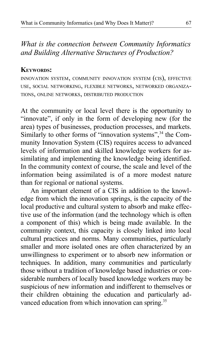# *What is the connection between Community Informatics and Building Alternative Structures of Production?*

### **KEYWORDS:**

INNOVATION SYSTEM, COMMUNITY INNOVATION SYSTEM (CIS), EFFECTIVE USE, SOCIAL NETWORKING, FLEXIBLE NETWORKS, NETWORKED ORGANIZA-TIONS, ONLINE NETWORKS, DISTRIBUTED PRODUCTION

At the community or local level there is the opportunity to "innovate", if only in the form of developing new (for the area) types of businesses, production processes, and markets. Similarly to other forms of "innovation systems",  $34$  the Community Innovation System (CIS) requires access to advanced levels of information and skilled knowledge workers for assimilating and implementing the knowledge being identified. In the community context of course, the scale and level of the information being assimilated is of a more modest nature than for regional or national systems.

An important element of a CIS in addition to the knowledge from which the innovation springs, is the capacity of the local productive and cultural system to absorb and make effective use of the information (and the technology which is often a component of this) which is being made available. In the community context, this capacity is closely linked into local cultural practices and norms. Many communities, particularly smaller and more isolated ones are often characterized by an unwillingness to experiment or to absorb new information or techniques. In addition, many communities and particularly those without a tradition of knowledge based industries or considerable numbers of locally based knowledge workers may be suspicious of new information and indifferent to themselves or their children obtaining the education and particularly advanced education from which innovation can spring.<sup>35</sup>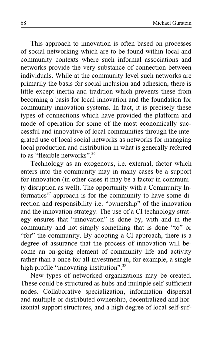This approach to innovation is often based on processes of social networking which are to be found within local and community contexts where such informal associations and networks provide the very substance of connection between individuals. While at the community level such networks are primarily the basis for social inclusion and adhesion, there is little except inertia and tradition which prevents these from becoming a basis for local innovation and the foundation for community innovation systems. In fact, it is precisely these types of connections which have provided the platform and mode of operation for some of the most economically successful and innovative of local communities through the integrated use of local social networks as networks for managing local production and distribution in what is generally referred to as "flexible networks".36

Technology as an exogenous, i.e. external, factor which enters into the community may in many cases be a support for innovation (in other cases it may be a factor in community disruption as well). The opportunity with a Community Informatics<sup>37</sup> approach is for the community to have some direction and responsibility i.e. "ownership" of the innovation and the innovation strategy. The use of a CI technology strategy ensures that "innovation" is done by, with and in the community and not simply something that is done "to" or "for" the community. By adopting a CI approach, there is a degree of assurance that the process of innovation will become an on-going element of community life and activity rather than a once for all investment in, for example, a single high profile "innovating institution".<sup>38</sup>

New types of networked organizations may be created. These could be structured as hubs and multiple self-sufficient nodes. Collaborative specialization, information dispersal and multiple or distributed ownership, decentralized and horizontal support structures, and a high degree of local self-suf-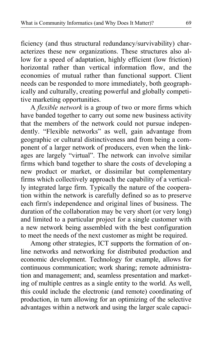ficiency (and thus structural redundancy/survivability) characterizes these new organizations. These structures also allow for a speed of adaptation, highly efficient (low friction) horizontal rather than vertical information flow, and the economies of mutual rather than functional support. Client needs can be responded to more immediately, both geographically and culturally, creating powerful and globally competitive marketing opportunities.

A *flexible network* is a group of two or more firms which have banded together to carry out some new business activity that the members of the network could not pursue independently. "Flexible networks" as well, gain advantage from geographic or cultural distinctiveness and from being a component of a larger network of producers, even when the linkages are largely "virtual". The network can involve similar firms which band together to share the costs of developing a new product or market, or dissimilar but complementary firms which collectively approach the capability of a vertically integrated large firm. Typically the nature of the cooperation within the network is carefully defined so as to preserve each firm's independence and original lines of business. The duration of the collaboration may be very short (or very long) and limited to a particular project for a single customer with a new network being assembled with the best configuration to meet the needs of the next customer as might be required.

Among other strategies, ICT supports the formation of online networks and networking for distributed production and economic development. Technology for example, allows for continuous communication; work sharing; remote administration and management; and, seamless presentation and marketing of multiple centres as a single entity to the world. As well, this could include the electronic (and remote) coordinating of production, in turn allowing for an optimizing of the selective advantages within a network and using the larger scale capaci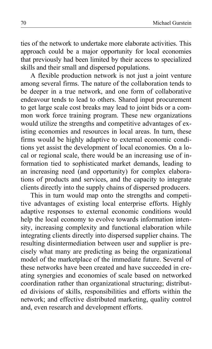ties of the network to undertake more elaborate activities. This approach could be a major opportunity for local economies that previously had been limited by their access to specialized skills and their small and dispersed populations.

A flexible production network is not just a joint venture among several firms. The nature of the collaboration tends to be deeper in a true network, and one form of collaborative endeavour tends to lead to others. Shared input procurement to get large scale cost breaks may lead to joint bids or a common work force training program. These new organizations would utilize the strengths and competitive advantages of existing economies and resources in local areas. In turn, these firms would be highly adaptive to external economic conditions yet assist the development of local economies. On a local or regional scale, there would be an increasing use of information tied to sophisticated market demands, leading to an increasing need (and opportunity) for complex elaborations of products and services, and the capacity to integrate clients directly into the supply chains of dispersed producers.

This in turn would map onto the strengths and competitive advantages of existing local enterprise efforts. Highly adaptive responses to external economic conditions would help the local economy to evolve towards information intensity, increasing complexity and functional elaboration while integrating clients directly into dispersed supplier chains. The resulting disintermediation between user and supplier is precisely what many are predicting as being the organizational model of the marketplace of the immediate future. Several of these networks have been created and have succeeded in creating synergies and economies of scale based on networked coordination rather than organizational structuring; distributed divisions of skills, responsibilities and efforts within the network; and effective distributed marketing, quality control and, even research and development efforts.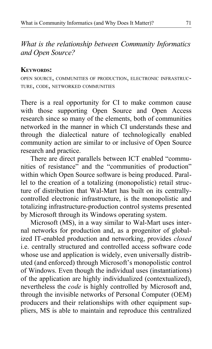### *What is the relationship between Community Informatics and Open Source?*

#### **KEYWORDS:**

OPEN SOURCE, COMMUNITIES OF PRODUCTION, ELECTRONIC INFRASTRUC-TURE, CODE, NETWORKED COMMUNITIES

There is a real opportunity for CI to make common cause with those supporting Open Source and Open Access research since so many of the elements, both of communities networked in the manner in which CI understands these and through the dialectical nature of technologically enabled community action are similar to or inclusive of Open Source research and practice.

There are direct parallels between ICT enabled "communities of resistance" and the "communities of production" within which Open Source software is being produced. Parallel to the creation of a totalizing (monopolistic) retail structure of distribution that Wal-Mart has built on its centrallycontrolled electronic infrastructure, is the monopolistic and totalizing infrastructure-production control systems presented by Microsoft through its Windows operating system.

Microsoft (MS), in a way similar to Wal-Mart uses internal networks for production and, as a progenitor of globalized IT-enabled production and networking, provides *closed* i.e. centrally structured and controlled access software code whose use and application is widely, even universally distributed (and enforced) through Microsoft's monopolistic control of Windows. Even though the individual uses (instantiations) of the application are highly individualized (contextualized), nevertheless the *code* is highly controlled by Microsoft and, through the invisible networks of Personal Computer (OEM) producers and their relationships with other equipment suppliers, MS is able to maintain and reproduce this centralized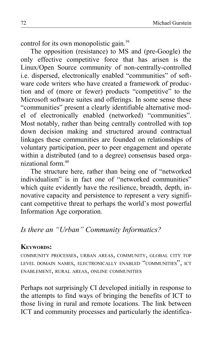control for its own monopolistic gain.<sup>39</sup>

The opposition (resistance) to MS and (pre-Google) the only effective competitive force that has arisen is the Linux/Open Source community of non-centrally-controlled i.e. dispersed, electronically enabled "communities" of software code writers who have created a framework of production and of (more or fewer) products "competitive" to the Microsoft software suites and offerings. In some sense these "communities" present a clearly identifiable alternative model of electronically enabled (networked) "communities". Most notably, rather than being centrally controlled with top down decision making and structured around contractual linkages these communities are founded on relationships of voluntary participation, peer to peer engagement and operate within a distributed (and to a degree) consensus based organizational form 40

The structure here, rather than being one of "networked individualism" is in fact one of "networked communities" which quite evidently have the resilience, breadth, depth, innovative capacity and persistence to represent a very significant competitive threat to perhaps the world's most powerful Information Age corporation.

#### *Is there an "Urban" Community Informatics?*

#### **KEYWORDS:**

COMMUNITY PROCESSES, URBAN AREAS, COMMUNITY, GLOBAL CITY TOP LEVEL DOMAIN NAMES, ELECTRONICALLY ENABLED "COMMUNITIES", ICT ENABLEMENT, RURAL AREAS, ONLINE COMMUNITIES

Perhaps not surprisingly CI developed initially in response to the attempts to find ways of bringing the benefits of ICT to those living in rural and remote locations. The link between ICT and community processes and particularly the identifica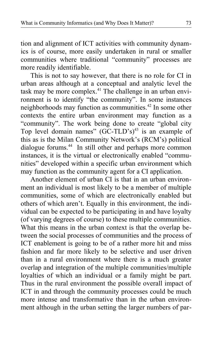tion and alignment of ICT activities with community dynamics is of course, more easily undertaken in rural or smaller communities where traditional "community" processes are more readily identifiable.

This is not to say however, that there is no role for CI in urban areas although at a conceptual and analytic level the task may be more complex.<sup>41</sup> The challenge in an urban environment is to identify "the community". In some instances neighborhoods may function as communities.<sup>42</sup> In some other contexts the entire urban environment may function as a "community". The work being done to create "global city Top level domain names"  $(GC-TLD's)^{43}$  is an example of this as is the Milan Community Network's (RCM's) political dialogue forums.44 In still other and perhaps more common instances, it is the virtual or electronically enabled "communities" developed within a specific urban environment which may function as the community agent for a CI application.

Another element of urban CI is that in an urban environment an individual is most likely to be a member of multiple communities, some of which are electronically enabled but others of which aren't. Equally in this environment, the individual can be expected to be participating in and have loyalty (of varying degrees of course) to these multiple communities. What this means in the urban context is that the overlap between the social processes of communities and the process of ICT enablement is going to be of a rather more hit and miss fashion and far more likely to be selective and user driven than in a rural environment where there is a much greater overlap and integration of the multiple communities/multiple loyalties of which an individual or a family might be part. Thus in the rural environment the possible overall impact of ICT in and through the community processes could be much more intense and transformative than in the urban environment although in the urban setting the larger numbers of par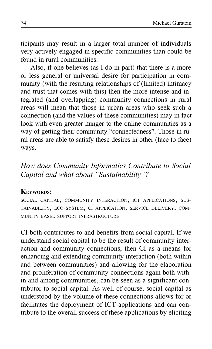ticipants may result in a larger total number of individuals very actively engaged in specific communities than could be found in rural communities.

Also, if one believes (as I do in part) that there is a more or less general or universal desire for participation in community (with the resulting relationships of (limited) intimacy and trust that comes with this) then the more intense and integrated (and overlapping) community connections in rural areas will mean that those in urban areas who seek such a connection (and the values of these communities) may in fact look with even greater hunger to the online communities as a way of getting their community "connectedness". Those in rural areas are able to satisfy these desires in other (face to face) ways.

#### *How does Community Informatics Contribute to Social Capital and what about "Sustainability"?*

#### **KEYWORDS:**

SOCIAL CAPITAL, COMMUNITY INTERACTION, ICT APPLICATIONS, SUS-TAINABILITY, ECO-SYSTEM, CI APPLICATION, SERVICE DELIVERY, COM-MUNITY BASED SUPPORT INFRASTRUCTURE

CI both contributes to and benefits from social capital. If we understand social capital to be the result of community interaction and community connections, then CI as a means for enhancing and extending community interaction (both within and between communities) and allowing for the elaboration and proliferation of community connections again both within and among communities, can be seen as a significant contributor to social capital. As well of course, social capital as understood by the volume of these connections allows for or facilitates the deployment of ICT applications and can contribute to the overall success of these applications by eliciting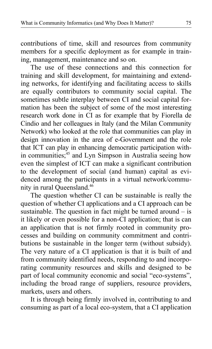contributions of time, skill and resources from community members for a specific deployment as for example in training, management, maintenance and so on.

The use of these connections and this connection for training and skill development, for maintaining and extending networks, for identifying and facilitating access to skills are equally contributors to community social capital. The sometimes subtle interplay between CI and social capital formation has been the subject of some of the most interesting research work done in CI as for example that by Fiorella de Cindio and her colleagues in Italy (and the Milan Community Network) who looked at the role that communities can play in design innovation in the area of e-Government and the role that ICT can play in enhancing democratic participation within communities;<sup>45</sup> and Lyn Simpson in Australia seeing how even the simplest of ICT can make a significant contribution to the development of social (and human) capital as evidenced among the participants in a virtual network/community in rural Queensland.<sup>46</sup>

The question whether CI can be sustainable is really the question of whether CI applications and a CI approach can be sustainable. The question in fact might be turned around  $-$  is it likely or even possible for a non-CI application; that is can an application that is not firmly rooted in community processes and building on community commitment and contributions be sustainable in the longer term (without subsidy). The very nature of a CI application is that it is built of and from community identified needs, responding to and incorporating community resources and skills and designed to be part of local community economic and social "eco-systems", including the broad range of suppliers, resource providers, markets, users and others.

It is through being firmly involved in, contributing to and consuming as part of a local eco-system, that a CI application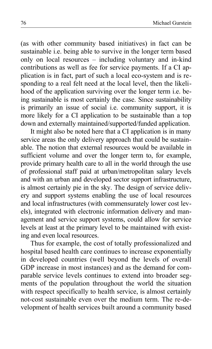(as with other community based initiatives) in fact can be sustainable i.e. being able to survive in the longer term based only on local resources – including voluntary and in-kind contributions as well as fee for service payments. If a CI application is in fact, part of such a local eco-system and is responding to a real felt need at the local level, then the likelihood of the application surviving over the longer term i.e. being sustainable is most certainly the case. Since sustainability is primarily an issue of social i.e. community support, it is more likely for a CI application to be sustainable than a top down and externally maintained/supported/funded application.

It might also be noted here that a CI application is in many service areas the only delivery approach that could be sustainable. The notion that external resources would be available in sufficient volume and over the longer term to, for example, provide primary health care to all in the world through the use of professional staff paid at urban/metropolitan salary levels and with an urban and developed sector support infrastructure, is almost certainly pie in the sky. The design of service delivery and support systems enabling the use of local resources and local infrastructures (with commensurately lower cost levels), integrated with electronic information delivery and management and service support systems, could allow for service levels at least at the primary level to be maintained with existing and even local resources.

Thus for example, the cost of totally professionalized and hospital based health care continues to increase exponentially in developed countries (well beyond the levels of overall GDP increase in most instances) and as the demand for comparable service levels continues to extend into broader segments of the population throughout the world the situation with respect specifically to health service, is almost certainly not-cost sustainable even over the medium term. The re-development of health services built around a community based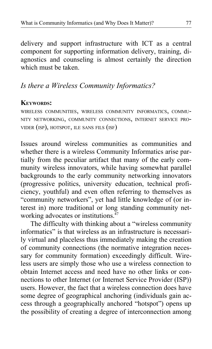delivery and support infrastructure with ICT as a central component for supporting information delivery, training, diagnostics and counseling is almost certainly the direction which must be taken.

#### *Is there a Wireless Community Informatics?*

#### **KEYWORDS:**

WIRELESS COMMUNITIES, WIRELESS COMMUNITY INFORMATICS, COMMU-NITY NETWORKING, COMMUNITY CONNECTIONS, INTERNET SERVICE PRO-VIDER (ISP), HOTSPOT, ILE SANS FILS (ISF)

Issues around wireless communities as communities and whether there is a wireless Community Informatics arise partially from the peculiar artifact that many of the early community wireless innovators, while having somewhat parallel backgrounds to the early community networking innovators (progressive politics, university education, technical proficiency, youthful) and even often referring to themselves as "community networkers", yet had little knowledge of (or interest in) more traditional or long standing community networking advocates or institutions.<sup>47</sup>

The difficulty with thinking about a "wireless community informatics" is that wireless as an infrastructure is necessarily virtual and placeless thus immediately making the creation of community connections (the normative integration necessary for community formation) exceedingly difficult. Wireless users are simply those who use a wireless connection to obtain Internet access and need have no other links or connections to other Internet (or Internet Service Provider (ISP)) users. However, the fact that a wireless connection does have some degree of geographical anchoring (individuals gain access through a geographically anchored "hotspot") opens up the possibility of creating a degree of interconnection among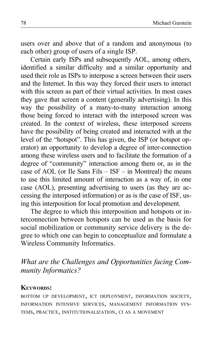users over and above that of a random and anonymous (to each other) group of users of a single ISP.

Certain early ISPs and subsequently AOL, among others, identified a similar difficulty and a similar opportunity and used their role as ISPs to interpose a screen between their users and the Internet. In this way they forced their users to interact with this screen as part of their virtual activities. In most cases they gave that screen a content (generally advertising). In this way the possibility of a many-to-many interaction among those being forced to interact with the interposed screen was created. In the context of wireless, these interposed screens have the possibility of being created and interacted with at the level of the "hotspot". This has given, the ISP (or hotspot operator) an opportunity to develop a degree of inter-connection among these wireless users and to facilitate the formation of a degree of "community" interaction among them or, as in the case of AOL (or Ile Sans Fils – ISF – in Montreal) the means to use this limited amount of interaction as a way of, in one case (AOL), presenting advertising to users (as they are accessing the interposed information) or as is the case of ISF, using this interposition for local promotion and development.

The degree to which this interposition and hotspots or interconnection between hotspots can be used as the basis for social mobilization or community service delivery is the degree to which one can begin to conceptualize and formulate a Wireless Community Informatics.

*What are the Challenges and Opportunities facing Community Informatics?* 

#### **KEYWORDS:**

BOTTOM UP DEVELOPMENT, ICT DEPLOYMENT, INFORMATION SOCIETY, INFORMATION INTENSIVE SERVICES, MANAGEMENT INFORMATION SYS-TEMS, PRACTICE, INSTITUTIONALIZATION, CI AS A MOVEMENT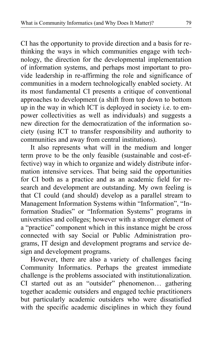CI has the opportunity to provide direction and a basis for rethinking the ways in which communities engage with technology, the direction for the developmental implementation of information systems, and perhaps most important to provide leadership in re-affirming the role and significance of communities in a modern technologically enabled society. At its most fundamental CI presents a critique of conventional approaches to development (a shift from top down to bottom up in the way in which ICT is deployed in society i.e. to empower collectivities as well as individuals) and suggests a new direction for the democratization of the information society (using ICT to transfer responsibility and authority to communities and away from central institutions).

It also represents what will in the medium and longer term prove to be the only feasible (sustainable and cost-effective) way in which to organize and widely distribute information intensive services. That being said the opportunities for CI both as a practice and as an academic field for research and development are outstanding. My own feeling is that CI could (and should) develop as a parallel stream to Management Information Systems within "Information", "Information Studies" or "Information Systems" programs in universities and colleges; however with a stronger element of a "practice" component which in this instance might be cross connected with say Social or Public Administration programs, IT design and development programs and service design and development programs.

However, there are also a variety of challenges facing Community Informatics. Perhaps the greatest immediate challenge is the problems associated with institutionalization. CI started out as an "outsider" phenomenon… gathering together academic outsiders and engaged techie practitioners but particularly academic outsiders who were dissatisfied with the specific academic disciplines in which they found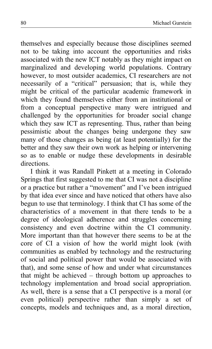themselves and especially because those disciplines seemed not to be taking into account the opportunities and risks associated with the new ICT notably as they might impact on marginalized and developing world populations. Contrary however, to most outsider academics, CI researchers are not necessarily of a "critical" persuasion; that is, while they might be critical of the particular academic framework in which they found themselves either from an institutional or from a conceptual perspective many were intrigued and challenged by the opportunities for broader social change which they saw ICT as representing. Thus, rather than being pessimistic about the changes being undergone they saw many of those changes as being (at least potentially) for the better and they saw their own work as helping or intervening so as to enable or nudge these developments in desirable directions.

I think it was Randall Pinkett at a meeting in Colorado Springs that first suggested to me that CI was not a discipline or a practice but rather a "movement" and I've been intrigued by that idea ever since and have noticed that others have also begun to use that terminology. I think that CI has some of the characteristics of a movement in that there tends to be a degree of ideological adherence and struggles concerning consistency and even doctrine within the CI community. More important than that however there seems to be at the core of CI a vision of how the world might look (with communities as enabled by technology and the restructuring of social and political power that would be associated with that), and some sense of how and under what circumstances that might be achieved – through bottom up approaches to technology implementation and broad social appropriation. As well, there is a sense that a CI perspective is a moral (or even political) perspective rather than simply a set of concepts, models and techniques and, as a moral direction,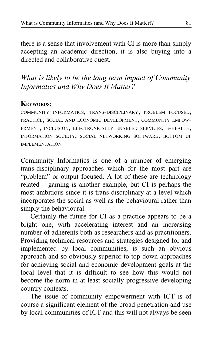there is a sense that involvement with CI is more than simply accepting an academic direction, it is also buying into a directed and collaborative quest.

*What is likely to be the long term impact of Community Informatics and Why Does It Matter?* 

#### **KEYWORDS:**

COMMUNITY INFORMATICS, TRANS-DISCIPLINARY, PROBLEM FOCUSED, PRACTICE, SOCIAL AND ECONOMIC DEVELOPMENT, COMMUNITY EMPOW-ERMENT, INCLUSION, ELECTRONICALLY ENABLED SERVICES, E-HEALTH, INFORMATION SOCIETY, SOCIAL NETWORKING SOFTWARE, BOTTOM UP IMPLEMENTATION

Community Informatics is one of a number of emerging trans-disciplinary approaches which for the most part are "problem" or output focused. A lot of these are technology related – gaming is another example, but CI is perhaps the most ambitious since it is trans-disciplinary at a level which incorporates the social as well as the behavioural rather than simply the behavioural.

Certainly the future for CI as a practice appears to be a bright one, with accelerating interest and an increasing number of adherents both as researchers and as practitioners. Providing technical resources and strategies designed for and implemented by local communities, is such an obvious approach and so obviously superior to top-down approaches for achieving social and economic development goals at the local level that it is difficult to see how this would not become the norm in at least socially progressive developing country contexts.

The issue of community empowerment with ICT is of course a significant element of the broad penetration and use by local communities of ICT and this will not always be seen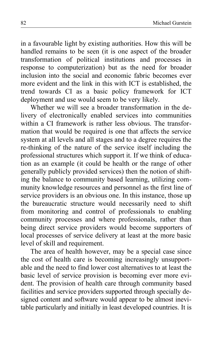in a favourable light by existing authorities. How this will be handled remains to be seen (it is one aspect of the broader transformation of political institutions and processes in response to computerization) but as the need for broader inclusion into the social and economic fabric becomes ever more evident and the link in this with ICT is established, the trend towards CI as a basic policy framework for ICT deployment and use would seem to be very likely.

Whether we will see a broader transformation in the delivery of electronically enabled services into communities within a CI framework is rather less obvious. The transformation that would be required is one that affects the service system at all levels and all stages and to a degree requires the re-thinking of the nature of the service itself including the professional structures which support it. If we think of education as an example (it could be health or the range of other generally publicly provided services) then the notion of shifting the balance to community based learning, utilizing community knowledge resources and personnel as the first line of service providers is an obvious one. In this instance, those up the bureaucratic structure would necessarily need to shift from monitoring and control of professionals to enabling community processes and where professionals, rather than being direct service providers would become supporters of local processes of service delivery at least at the more basic level of skill and requirement.

The area of health however, may be a special case since the cost of health care is becoming increasingly unsupportable and the need to find lower cost alternatives to at least the basic level of service provision is becoming ever more evident. The provision of health care through community based facilities and service providers supported through specially designed content and software would appear to be almost inevitable particularly and initially in least developed countries. It is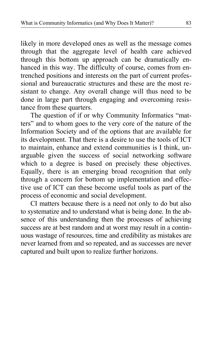likely in more developed ones as well as the message comes through that the aggregate level of health care achieved through this bottom up approach can be dramatically enhanced in this way. The difficulty of course, comes from entrenched positions and interests on the part of current professional and bureaucratic structures and these are the most resistant to change. Any overall change will thus need to be done in large part through engaging and overcoming resistance from these quarters.

The question of if or why Community Informatics "matters" and to whom goes to the very core of the nature of the Information Society and of the options that are available for its development. That there is a desire to use the tools of ICT to maintain, enhance and extend communities is I think, unarguable given the success of social networking software which to a degree is based on precisely these objectives. Equally, there is an emerging broad recognition that only through a concern for bottom up implementation and effective use of ICT can these become useful tools as part of the process of economic and social development.

CI matters because there is a need not only to do but also to systematize and to understand what is being done. In the absence of this understanding then the processes of achieving success are at best random and at worst may result in a continuous wastage of resources, time and credibility as mistakes are never learned from and so repeated, and as successes are never captured and built upon to realize further horizons.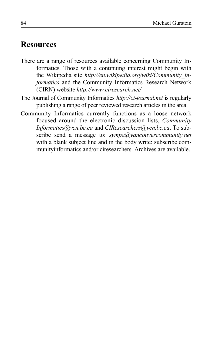### **Resources**

- There are a range of resources available concerning Community Informatics. Those with a continuing interest might begin with the Wikipedia site *http://en.wikipedia.org/wiki/Community\_informatics* and the Community Informatics Research Network (CIRN) website *http://www.ciresearch.net/*
- The Journal of Community Informatics *http://ci-journal.net* is regularly publishing a range of peer reviewed research articles in the area.
- Community Informatics currently functions as a loose network focused around the electronic discussion lists, *Community Informatics@vcn.bc.ca* and *CIResearchers@vcn.bc.ca*. To subscribe send a message to: *sympa@vancouvercommunity.net* with a blank subject line and in the body write: subscribe communityinformatics and/or ciresearchers. Archives are available.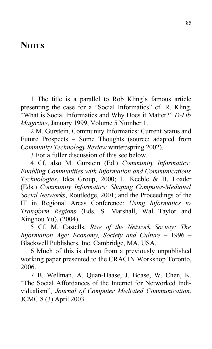### **NOTES**

1 The title is a parallel to Rob Kling's famous article presenting the case for a "Social Informatics" cf. R. Kling, "What is Social Informatics and Why Does it Matter?" *D-Lib Magazine*, January 1999, Volume 5 Number 1.

2 M. Gurstein, Community Informatics: Current Status and Future Prospects – Some Thoughts (source: adapted from *Community Technology Review* winter/spring 2002).

3 For a fuller discussion of this see below.

4 Cf. also M. Gurstein (Ed.) *Community Informatics: Enabling Communities with Information and Communications Technologies*, Idea Group, 2000; L. Keeble & B, Loader (Eds.) *Community Informatics: Shaping Computer-Mediated Social Networks*, Routledge, 2001; and the Proceedings of the IT in Regional Areas Conference: *Using Informatics to Transform Regions* (Eds. S. Marshall, Wal Taylor and Xinghou Yu), (2004).

5 Cf. M. Castells, *Rise of the Network Society: The Information Age: Economy, Society and Culture –* 1996 *–* Blackwell Publishers, Inc. Cambridge, MA, USA.

6 Much of this is drawn from a previously unpublished working paper presented to the CRACIN Workshop Toronto, 2006.

7 B. Wellman, A. Quan-Haase, J. Boase, W. Chen, K. "The Social Affordances of the Internet for Networked Individualism", *Journal of Computer Mediated Communication*, JCMC 8 (3) April 2003.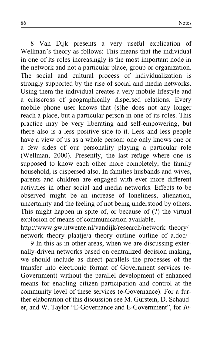8 Van Dijk presents a very useful explication of Wellman's theory as follows: This means that the individual in one of its roles increasingly is the most important node in the network and not a particular place, group or organization. The social and cultural process of individualization is strongly supported by the rise of social and media networks. Using them the individual creates a very mobile lifestyle and a crisscross of geographically dispersed relations. Every mobile phone user knows that (s)he does not any longer reach a place, but a particular person in one of its roles. This practice may be very liberating and self-empowering, but there also is a less positive side to it. Less and less people have a view of us as a whole person: one only knows one or a few sides of our personality playing a particular role (Wellman, 2000). Presently, the last refuge where one is supposed to know each other more completely, the family household, is dispersed also. In families husbands and wives, parents and children are engaged with ever more different activities in other social and media networks. Effects to be observed might be an increase of loneliness, alienation, uncertainty and the feeling of not being understood by others. This might happen in spite of, or because of (?) the virtual explosion of means of communication available. http://www.gw.utwente.nl/vandijk/research/network\_theory/

network theory plaatje/a theory outline outline of a.doc/

9 In this as in other areas, when we are discussing externally-driven networks based on centralized decision making, we should include as direct parallels the processes of the transfer into electronic format of Government services (e-Government) without the parallel development of enhanced means for enabling citizen participation and control at the community level of these services (e-Governance). For a further elaboration of this discussion see M. Gurstein, D. Schauder, and W. Taylor "E-Governance and E-Government", for *In-*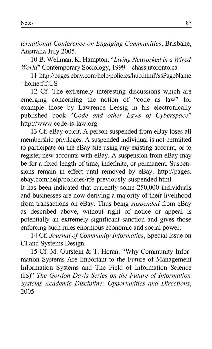*ternational Conference on Engaging Communities*, Brisbane, Australia July 2005.

10 B. Wellman, K. Hampton, "*Living Networked in a Wired World*" Contemporary Sociology, 1999 – chass.utoronto.ca

11 http://pages.ebay.com/help/policies/hub.html?ssPageName =home:f:f:US

12 Cf. The extremely interesting discussions which are emerging concerning the notion of "code as law" for example those by Lawrence Lessig in his electronically published book "*Code and other Laws of Cyberspace*" http://www.code-is-law.org

13 Cf. eBay op.cit. A person suspended from eBay loses all membership privileges. A suspended individual is not permitted to participate on the eBay site using any existing account, or to register new accounts with eBay. A suspension from eBay may be for a fixed length of time, indefinite, or permanent. Suspensions remain in effect until removed by eBay. http://pages. ebay.com/help/policies/rfe-previously-suspended html

It has been indicated that currently some 250,000 individuals and businesses are now deriving a majority of their livelihood from transactions on eBay. Thus being *suspended* from eBay as described above, without right of notice or appeal is potentially an extremely significant sanction and gives those enforcing such rules enormous economic and social power.

14 Cf. *Journal of Community Informatics*, Special Issue on CI and Systems Design.

15 Cf. M. Gurstein & T. Horan. "Why Community Information Systems Are Important to the Future of Management Information Systems and The Field of Information Science (IS)" *The Gordon Davis Series on the Future of Information Systems Academic Discipline: Opportunities and Directions*, 2005.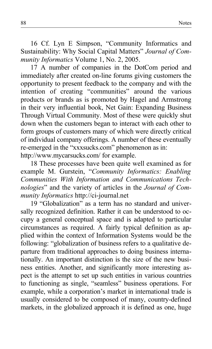16 Cf. Lyn E Simpson, "Community Informatics and Sustainability: Why Social Capital Matters" *Journal of Community Informatics* Volume 1, No. 2, 2005.

17 A number of companies in the DotCom period and immediately after created on-line forums giving customers the opportunity to present feedback to the company and with the intention of creating "communities" around the various products or brands as is promoted by Hagel and Armstrong in their very influential book, Net Gain: Expanding Business Through Virtual Community. Most of these were quickly shut down when the customers began to interact with each other to form groups of customers many of which were directly critical of individual company offerings. A number of these eventually re-emerged in the "xxxsucks.com" phenomenon as in: http://www.mycarsucks.com/ for example.

18 These processes have been quite well examined as for example M. Gurstein, "*Community Informatics: Enabling Communities With Information and Communications Technologies*" and the variety of articles in the *Journal of Community Informatics* http://ci-journal.net

19 "Globalization" as a term has no standard and universally recognized definition. Rather it can be understood to occupy a general conceptual space and is adapted to particular circumstances as required. A fairly typical definition as applied within the context of Information Systems would be the following: "globalization of business refers to a qualitative departure from traditional approaches to doing business internationally. An important distinction is the size of the new business entities. Another, and significantly more interesting aspect is the attempt to set up such entities in various countries to functioning as single, "seamless" business operations. For example, while a corporation's market in international trade is usually considered to be composed of many, country-defined markets, in the globalized approach it is defined as one, huge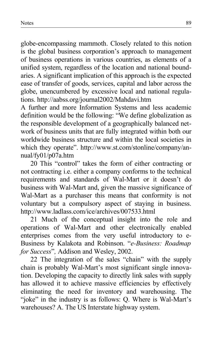globe-encompassing mammoth. Closely related to this notion is the global business corporation's approach to management of business operations in various countries, as elements of a unified system, regardless of the location and national boundaries. A significant implication of this approach is the expected ease of transfer of goods, services, capital and labor across the globe, unencumbered by excessive local and national regulations. http://aabss.org/journal2002/Mahdavi.htm

A further and more Information Systems and less academic definition would be the following: "We define globalization as the responsible development of a geographically balanced network of business units that are fully integrated within both our worldwide business structure and within the local societies in which they operate". http://www.st.com/stonline/company/annual/fy01/p07a.htm

20 This "control" takes the form of either contracting or not contracting i.e. either a company conforms to the technical requirements and standards of Wal-Mart or it doesn't do business with Wal-Mart and, given the massive significance of Wal-Mart as a purchaser this means that conformity is not voluntary but a compulsory aspect of staying in business. http://www.ladlass.com/ice/archives/007533.html

21 Much of the conceptual insight into the role and operations of Wal-Mart and other electronically enabled enterprises comes from the very useful introductory to e-Business by Kalakota and Robinson. "*e-Business: Roadmap for Success*"*,* Addison and Wesley, 2002.

22 The integration of the sales "chain" with the supply chain is probably Wal-Mart's most significant single innovation. Developing the capacity to directly link sales with supply has allowed it to achieve massive efficiencies by effectively eliminating the need for inventory and warehousing. The "joke" in the industry is as follows: Q. Where is Wal-Mart's warehouses? A. The US Interstate highway system.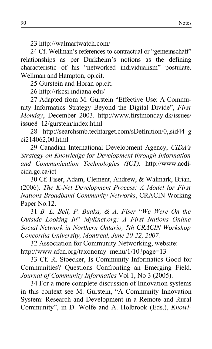23 http://walmartwatch.com/

24 Cf. Wellman's references to contractual or "gemeinschaft" relationships as per Durkheim's notions as the defining characteristic of his "networked individualism" postulate. Wellman and Hampton, op.cit.

25 Gurstein and Horan op.cit.

26 http://rkcsi.indiana.edu/

27 Adapted from M. Gurstein "Effective Use: A Community Informatics Strategy Beyond the Digital Divide", *First Monday*, December 2003. http://www.firstmonday.dk/issues/ issue8\_12/gurstein/index.html

28 http://searchsmb.techtarget.com/sDefinition/0,,sid44\_g ci214062,00.html

29 Canadian International Development Agency, *CIDA's Strategy on Knowledge for Development through Information and Communication Technologies (ICT),* http://www.acdicida.gc.ca/ict

30 Cf. Fiser, Adam, Clement, Andrew, & Walmark, Brian. (2006). *The K-Net Development Process: A Model for First Nations Broadband Community Networks*, CRACIN Working Paper No.12.

31 *B. L. Bell, P. Budka, & A. Fiser* "*We Were On the Outside Looking In*" *MyKnet.org: A First Nations Online Social Network in Northern Ontario, 5th CRACIN Workshop Concordia University, Montreal, June 20-22, 2007.*

32 Association for Community Networking, website: http://www.afcn.org/taxonomy\_menu/1/10?page=13

33 Cf. R. Stoecker, Is Community Informatics Good for Communities? Questions Confronting an Emerging Field. *Journal of Community Informatics* Vol 1, No 3 (2005).

34 For a more complete discussion of Innovation systems in this context see M. Gurstein, "A Community Innovation System: Research and Development in a Remote and Rural Community", in D. Wolfe and A. Holbrook (Eds.), *Knowl-*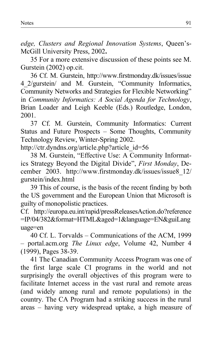*edge, Clusters and Regional Innovation Systems*, Queen's-McGill University Press, 2002**.**

35 For a more extensive discussion of these points see M. Gurstein (2002) op.cit.

36 Cf. M. Gurstein, http://www.firstmonday.dk/issues/issue 4\_2/gurstein/ and M. Gurstein, "Community Informatics, Community Networks and Strategies for Flexible Networking" in *Community Informatics: A Social Agenda for Technology*, Brian Loader and Leigh Keeble (Eds.) Routledge, London, 2001.

37 Cf. M. Gurstein, Community Informatics: Current Status and Future Prospects – Some Thoughts, Community Technology Review, Winter-Spring 2002.

http://ctr.dyndns.org/article.php?article\_id=56

38 M. Gurstein, "Effective Use: A Community Informatics Strategy Beyond the Digital Divide", *First Monday*, December 2003. http://www.firstmonday.dk/issues/issue8\_12/ gurstein/index.html

39 This of course, is the basis of the recent finding by both the US government and the European Union that Microsoft is guilty of monopolistic practices.

Cf. http://europa.eu.int/rapid/pressReleasesAction.do?reference =IP/04/382&format=HTML&aged=1&language=EN&guiLang uage=en

40 Cf. L. Torvalds – Communications of the ACM, 1999 – portal.acm.org *The Linux edge*, Volume 42, Number 4 (1999), Pages 38-39.

41 The Canadian Community Access Program was one of the first large scale CI programs in the world and not surprisingly the overall objectives of this program were to facilitate Internet access in the vast rural and remote areas (and widely among rural and remote populations) in the country. The CA Program had a striking success in the rural areas – having very widespread uptake, a high measure of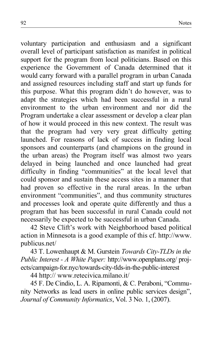voluntary participation and enthusiasm and a significant overall level of participant satisfaction as manifest in political support for the program from local politicians. Based on this experience the Government of Canada determined that it would carry forward with a parallel program in urban Canada and assigned resources including staff and start up funds for this purpose. What this program didn't do however, was to adapt the strategies which had been successful in a rural environment to the urban environment and nor did the Program undertake a clear assessment or develop a clear plan of how it would proceed in this new context. The result was that the program had very very great difficulty getting launched. For reasons of lack of success in finding local sponsors and counterparts (and champions on the ground in the urban areas) the Program itself was almost two years delayed in being launched and once launched had great difficulty in finding "communities" at the local level that could sponsor and sustain these access sites in a manner that had proven so effective in the rural areas. In the urban environment "communities", and thus community structures and processes look and operate quite differently and thus a program that has been successful in rural Canada could not necessarily be expected to be successful in urban Canada.

42 Steve Clift's work with Neighborhood based political action in Minnesota is a good example of this cf. http://www. publicus.net/

43 T. Lowenhaupt & M. Gurstein *Towards City-TLDs in the Public Interest - A White Paper:* http://www.openplans.org/ projects/campaign-for.nyc/towards-city-tlds-in-the-public-interest

44 http:// www.retecivica.milano.it/

45 F. De Cindio, L. A. Ripamonti, & C. Peraboni, "Community Networks as lead users in online public services design", *Journal of Community Informatics*, Vol. 3 No. 1, (2007).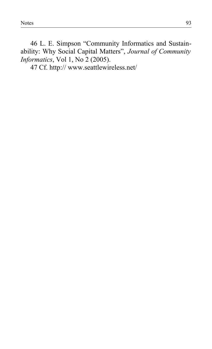46 L. E. Simpson "Community Informatics and Sustainability: Why Social Capital Matters", *Journal of Community Informatics*, Vol 1, No 2 (2005).

47 Cf. http:// www.seattlewireless.net/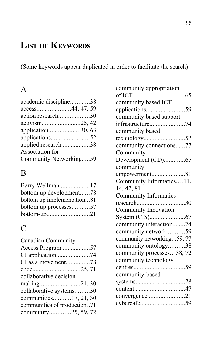# **LIST OF KEYWORDS**

(Some keywords appear duplicated in order to facilitate the search)

### A

| academic discipline38  |  |
|------------------------|--|
| access44, 47, 59       |  |
| action research30      |  |
|                        |  |
| application30, 63      |  |
|                        |  |
| applied research38     |  |
| Association for        |  |
| Community Networking59 |  |

### B

| Barry Wellman17            |  |
|----------------------------|--|
| bottom up development78    |  |
| bottom up implementation81 |  |
| bottom up processes57      |  |
|                            |  |

### C

| Canadian Community          |
|-----------------------------|
| Access Program57            |
| CI application74            |
| CI as a movement78          |
|                             |
| collaborative decision      |
|                             |
| collaborative systems30     |
| communities17, 21, 30       |
| communities of production71 |
| community25, 59, 72         |
|                             |

| community appropriation    |  |
|----------------------------|--|
|                            |  |
| community based ICT        |  |
|                            |  |
| community based support    |  |
| infrastructure74           |  |
| community based            |  |
| technology52               |  |
| community connections77    |  |
| Community                  |  |
| Development (CD)65         |  |
| community                  |  |
| empowerment81              |  |
| Community Informatics11,   |  |
| 14, 42, 81                 |  |
| Community Informatics      |  |
|                            |  |
| Community Innovation       |  |
|                            |  |
| community interaction74    |  |
| community network59        |  |
| community networking59, 77 |  |
| community ontology38       |  |
| community processes38, 72  |  |
| community technology       |  |
|                            |  |
| community-based            |  |
|                            |  |
|                            |  |
| convergence21              |  |
|                            |  |
|                            |  |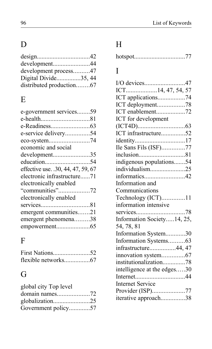# D

| development44            |  |
|--------------------------|--|
| development process47    |  |
| Digital Divide35, 44     |  |
| distributed production67 |  |

# E

| e-government services59            |  |
|------------------------------------|--|
|                                    |  |
|                                    |  |
| e-service delivery54               |  |
|                                    |  |
| economic and social                |  |
| development35                      |  |
| education54                        |  |
| effective use. .30, 44, 47, 59, 67 |  |
| electronic infrastructure71        |  |
| electronically enabled             |  |
| "communities"72                    |  |
| electronically enabled             |  |
| services81                         |  |
| emergent communities21             |  |
| emergent phenomena38               |  |
|                                    |  |
|                                    |  |

## F

# G

| domain names72      |
|---------------------|
| globalization25     |
| Government policy57 |
|                     |

## H

|--|--|--|

## I

| I/O devices47               |  |
|-----------------------------|--|
| ICT14, 47, 54, 57           |  |
| ICT applications74          |  |
| ICT deployment78            |  |
| ICT enablement72            |  |
| ICT for development         |  |
|                             |  |
| ICT infrastructure52        |  |
|                             |  |
| Ile Sans Fils (ISF)77       |  |
|                             |  |
| indigenous populations54    |  |
| individualism25             |  |
| informatics42               |  |
| Information and             |  |
| Communications              |  |
| Technology (ICT)11          |  |
| information intensive       |  |
| services78                  |  |
| Information Society14, 25,  |  |
| 54, 78, 81                  |  |
| Information System30        |  |
| Information Systems63       |  |
| infrastructure44, 47        |  |
|                             |  |
| institutionalization78      |  |
| intelligence at the edges30 |  |
|                             |  |
| <b>Internet Service</b>     |  |
| Provider (ISP)77            |  |
| iterative approach38        |  |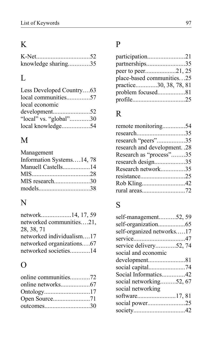# K

| knowledge sharing35 |  |
|---------------------|--|

# L

| Less Developed Country63 |  |
|--------------------------|--|
| local communities57      |  |
| local economic           |  |
|                          |  |
| "local" vs. "global"30   |  |
| local knowledge54        |  |

# M

| Management                |  |
|---------------------------|--|
| Information Systems14, 78 |  |
| Manuell Castells14        |  |
|                           |  |
| MIS research30            |  |
|                           |  |

# N

| network14, 17, 59         |  |
|---------------------------|--|
| networked communities21,  |  |
| 28.38.71                  |  |
| networked individualism17 |  |
| networked organizations67 |  |
| networked societies14     |  |

### O

| online communities72 |  |
|----------------------|--|
|                      |  |
|                      |  |
|                      |  |
|                      |  |

## P

| partnerships35            |  |
|---------------------------|--|
| peer to peer21, 25        |  |
| place-based communities25 |  |
| practice30, 38, 78, 81    |  |
| problem focused81         |  |
|                           |  |

# R

| remote monitoring54           |  |
|-------------------------------|--|
| research35                    |  |
| research "peers"35            |  |
| research and development. .28 |  |
| Research as "process"35       |  |
| research design35             |  |
| Research network35            |  |
|                               |  |
|                               |  |
|                               |  |

## S

| self-management52, 59     |  |
|---------------------------|--|
|                           |  |
| self-organized networks17 |  |
|                           |  |
| service delivery52, 74    |  |
| social and economic       |  |
| development81             |  |
|                           |  |
| Social Informatics42      |  |
| social networking52, 67   |  |
| social networking         |  |
| software17,81             |  |
| social power25            |  |
|                           |  |
|                           |  |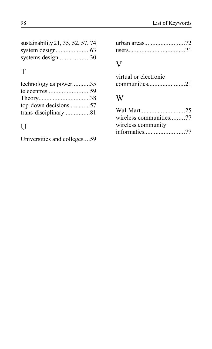| sustainability 21, 35, 52, 57, 74 |  |
|-----------------------------------|--|
|                                   |  |
| systems design30                  |  |

# T

| technology as power35 |  |
|-----------------------|--|
|                       |  |
|                       |  |
| top-down decisions57  |  |
| trans-disciplinary81  |  |

## U

Universities and colleges....59

| urban areas72 |  |
|---------------|--|
|               |  |

### V

| virtual or electronic |  |
|-----------------------|--|
|                       |  |

### W

| Wal-Mart25             |  |
|------------------------|--|
| wireless communities77 |  |
| wireless community     |  |
|                        |  |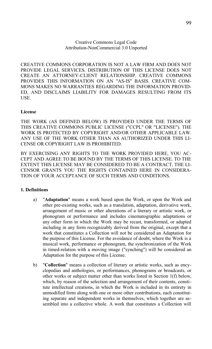#### Creative Commons Legal Code Attribution-NonCommercial 3.0 Unported

CREATIVE COMMONS CORPORATION IS NOT A LAW FIRM AND DOES NOT PROVIDE LEGAL SERVICES. DISTRIBUTION OF THIS LICENSE DOES NOT CREATE AN ATTORNEY-CLIENT RELATIONSHIP. CREATIVE COMMONS PROVIDES THIS INFORMATION ON AN "AS-IS" BASIS. CREATIVE COM-MONS MAKES NO WARRANTIES REGARDING THE INFORMATION PROVID-ED, AND DISCLAIMS LIABILITY FOR DAMAGES RESULTING FROM ITS USE.

#### **License**

THE WORK (AS DEFINED BELOW) IS PROVIDED UNDER THE TERMS OF THIS CREATIVE COMMONS PUBLIC LICENSE ("CCPL" OR "LICENSE"). THE WORK IS PROTECTED BY COPYRIGHT AND/OR OTHER APPLICABLE LAW. ANY USE OF THE WORK OTHER THAN AS AUTHORIZED UNDER THIS LI-CENSE OR COPYRIGHT LAW IS PROHIBITED.

BY EXERCISING ANY RIGHTS TO THE WORK PROVIDED HERE, YOU AC-CEPT AND AGREE TO BE BOUND BY THE TERMS OF THIS LICENSE. TO THE EXTENT THIS LICENSE MAY BE CONSIDERED TO BE A CONTRACT, THE LI-CENSOR GRANTS YOU THE RIGHTS CONTAINED HERE IN CONSIDERA-TION OF YOUR ACCEPTANCE OF SUCH TERMS AND CONDITIONS.

#### **1. Definitions**

- a) "**Adaptation**" means a work based upon the Work, or upon the Work and other pre-existing works, such as a translation, adaptation, derivative work, arrangement of music or other alterations of a literary or artistic work, or phonogram or performance and includes cinematographic adaptations or any other form in which the Work may be recast, transformed, or adapted including in any form recognizably derived from the original, except that a work that constitutes a Collection will not be considered an Adaptation for the purpose of this License. For the avoidance of doubt, where the Work is a musical work, performance or phonogram, the synchronization of the Work in timed-relation with a moving image ("synching") will be considered an Adaptation for the purpose of this License.
- b) "**Collection**" means a collection of literary or artistic works, such as encyclopedias and anthologies, or performances, phonograms or broadcasts, or other works or subject matter other than works listed in Section 1(f) below, which, by reason of the selection and arrangement of their contents, constitute intellectual creations, in which the Work is included in its entirety in unmodified form along with one or more other contributions, each constituting separate and independent works in themselves, which together are assembled into a collective whole. A work that constitutes a Collection will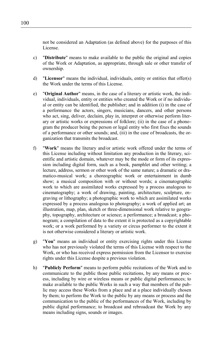not be considered an Adaptation (as defined above) for the purposes of this License.

- c) "**Distribute**" means to make available to the public the original and copies of the Work or Adaptation, as appropriate, through sale or other transfer of ownership.
- d) "**Licensor**" means the individual, individuals, entity or entities that offer(s) the Work under the terms of this License.
- e) "**Original Author**" means, in the case of a literary or artistic work, the individual, individuals, entity or entities who created the Work or if no individual or entity can be identified, the publisher; and in addition (i) in the case of a performance the actors, singers, musicians, dancers, and other persons who act, sing, deliver, declaim, play in, interpret or otherwise perform literary or artistic works or expressions of folklore; (ii) in the case of a phonogram the producer being the person or legal entity who first fixes the sounds of a performance or other sounds; and, (iii) in the case of broadcasts, the organization that transmits the broadcast.
- f) "**Work**" means the literary and/or artistic work offered under the terms of this License including without limitation any production in the literary, scientific and artistic domain, whatever may be the mode or form of its expression including digital form, such as a book, pamphlet and other writing; a lecture, address, sermon or other work of the same nature; a dramatic or dramatico-musical work; a choreographic work or entertainment in dumb show; a musical composition with or without words; a cinematographic work to which are assimilated works expressed by a process analogous to cinematography; a work of drawing, painting, architecture, sculpture, engraving or lithography; a photographic work to which are assimilated works expressed by a process analogous to photography; a work of applied art; an illustration, map, plan, sketch or three-dimensional work relative to geography, topography, architecture or science; a performance; a broadcast; a phonogram; a compilation of data to the extent it is protected as a copyrightable work; or a work performed by a variety or circus performer to the extent it is not otherwise considered a literary or artistic work.
- g) "**You**" means an individual or entity exercising rights under this License who has not previously violated the terms of this License with respect to the Work, or who has received express permission from the Licensor to exercise rights under this License despite a previous violation.
- h) "**Publicly Perform**" means to perform public recitations of the Work and to communicate to the public those public recitations, by any means or process, including by wire or wireless means or public digital performances; to make available to the public Works in such a way that members of the public may access these Works from a place and at a place individually chosen by them; to perform the Work to the public by any means or process and the communication to the public of the performances of the Work, including by public digital performance; to broadcast and rebroadcast the Work by any means including signs, sounds or images.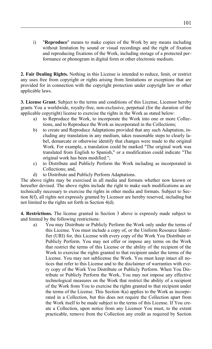i) "**Reproduce**" means to make copies of the Work by any means including without limitation by sound or visual recordings and the right of fixation and reproducing fixations of the Work, including storage of a protected performance or phonogram in digital form or other electronic medium.

**2. Fair Dealing Rights.** Nothing in this License is intended to reduce, limit, or restrict any uses free from copyright or rights arising from limitations or exceptions that are provided for in connection with the copyright protection under copyright law or other applicable laws.

**3. License Grant.** Subject to the terms and conditions of this License, Licensor hereby grants You a worldwide, royalty-free, non-exclusive, perpetual (for the duration of the applicable copyright) license to exercise the rights in the Work as stated below:

- a) to Reproduce the Work, to incorporate the Work into one or more Collections, and to Reproduce the Work as incorporated in the Collections;
- b) to create and Reproduce Adaptations provided that any such Adaptation, including any translation in any medium, takes reasonable steps to clearly label, demarcate or otherwise identify that changes were made to the original Work. For example, a translation could be marked "The original work was translated from English to Spanish," or a modification could indicate "The original work has been modified.";
- c) to Distribute and Publicly Perform the Work including as incorporated in Collections; and,
- d) to Distribute and Publicly Perform Adaptations.

The above rights may be exercised in all media and formats whether now known or hereafter devised. The above rights include the right to make such modifications as are technically necessary to exercise the rights in other media and formats. Subject to Section 8(f), all rights not expressly granted by Licensor are hereby reserved, including but not limited to the rights set forth in Section 4(d).

**4. Restrictions.** The license granted in Section 3 above is expressly made subject to and limited by the following restrictions:

a) You may Distribute or Publicly Perform the Work only under the terms of this License. You must include a copy of, or the Uniform Resource Identifier (URI) for, this License with every copy of the Work You Distribute or Publicly Perform. You may not offer or impose any terms on the Work that restrict the terms of this License or the ability of the recipient of the Work to exercise the rights granted to that recipient under the terms of the License. You may not sublicense the Work. You must keep intact all notices that refer to this License and to the disclaimer of warranties with every copy of the Work You Distribute or Publicly Perform. When You Distribute or Publicly Perform the Work, You may not impose any effective technological measures on the Work that restrict the ability of a recipient of the Work from You to exercise the rights granted to that recipient under the terms of the License. This Section 4(a) applies to the Work as incorporated in a Collection, but this does not require the Collection apart from the Work itself to be made subject to the terms of this License. If You create a Collection, upon notice from any Licensor You must, to the extent practicable, remove from the Collection any credit as required by Section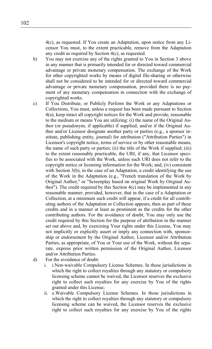4(c), as requested. If You create an Adaptation, upon notice from any Licensor You must, to the extent practicable, remove from the Adaptation any credit as required by Section 4(c), as requested.

- b) You may not exercise any of the rights granted to You in Section 3 above in any manner that is primarily intended for or directed toward commercial advantage or private monetary compensation. The exchange of the Work for other copyrighted works by means of digital file-sharing or otherwise shall not be considered to be intended for or directed toward commercial advantage or private monetary compensation, provided there is no payment of any monetary compensation in connection with the exchange of copyrighted works.
- c) If You Distribute, or Publicly Perform the Work or any Adaptations or Collections, You must, unless a request has been made pursuant to Section 4(a), keep intact all copyright notices for the Work and provide, reasonable to the medium or means You are utilizing: (i) the name of the Original Author (or pseudonym, if applicable) if supplied, and/or if the Original Author and/or Licensor designate another party or parties (e.g., a sponsor institute, publishing entity, journal) for attribution ("Attribution Parties") in Licensor's copyright notice, terms of service or by other reasonable means, the name of such party or parties; (ii) the title of the Work if supplied; (iii) to the extent reasonably practicable, the URI, if any, that Licensor specifies to be associated with the Work, unless such URI does not refer to the copyright notice or licensing information for the Work; and, (iv) consistent with Section 3(b), in the case of an Adaptation, a credit identifying the use of the Work in the Adaptation (e.g., "French translation of the Work by Original Author," or "Screenplay based on original Work by Original Author"). The credit required by this Section 4(c) may be implemented in any reasonable manner; provided, however, that in the case of a Adaptation or Collection, at a minimum such credit will appear, if a credit for all contributing authors of the Adaptation or Collection appears, then as part of these credits and in a manner at least as prominent as the credits for the other contributing authors. For the avoidance of doubt, You may only use the credit required by this Section for the purpose of attribution in the manner set out above and, by exercising Your rights under this License, You may not implicitly or explicitly assert or imply any connection with, sponsorship or endorsement by the Original Author, Licensor and/or Attribution Parties, as appropriate, of You or Your use of the Work, without the separate, express prior written permission of the Original Author, Licensor and/or Attribution Parties.
- d) For the avoidance of doubt:
	- i. i.Non-waivable Compulsory License Schemes. In those jurisdictions in which the right to collect royalties through any statutory or compulsory licensing scheme cannot be waived, the Licensor reserves the exclusive right to collect such royalties for any exercise by You of the rights granted under this License;
	- ii. e.Waivable Compulsory License Schemes. In those jurisdictions in which the right to collect royalties through any statutory or compulsory licensing scheme can be waived, the Licensor reserves the exclusive right to collect such royalties for any exercise by You of the rights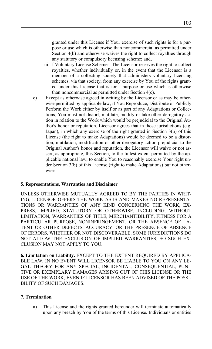granted under this License if Your exercise of such rights is for a purpose or use which is otherwise than noncommercial as permitted under Section 4(b) and otherwise waives the right to collect royalties through any statutory or compulsory licensing scheme; and,

- iii. f.Voluntary License Schemes. The Licensor reserves the right to collect royalties, whether individually or, in the event that the Licensor is a member of a collecting society that administers voluntary licensing schemes, via that society, from any exercise by You of the rights granted under this License that is for a purpose or use which is otherwise than noncommercial as permitted under Section 4(c).
- e) Except as otherwise agreed in writing by the Licensor or as may be otherwise permitted by applicable law, if You Reproduce, Distribute or Publicly Perform the Work either by itself or as part of any Adaptations or Collections, You must not distort, mutilate, modify or take other derogatory action in relation to the Work which would be prejudicial to the Original Author's honor or reputation. Licensor agrees that in those jurisdictions (e.g. Japan), in which any exercise of the right granted in Section 3(b) of this License (the right to make Adaptations) would be deemed to be a distortion, mutilation, modification or other derogatory action prejudicial to the Original Author's honor and reputation, the Licensor will waive or not assert, as appropriate, this Section, to the fullest extent permitted by the applicable national law, to enable You to reasonably exercise Your right under Section 3(b) of this License (right to make Adaptations) but not otherwise.

#### **5. Representations, Warranties and Disclaimer**

UNLESS OTHERWISE MUTUALLY AGREED TO BY THE PARTIES IN WRIT-ING, LICENSOR OFFERS THE WORK AS-IS AND MAKES NO REPRESENTA-TIONS OR WARRANTIES OF ANY KIND CONCERNING THE WORK, EX-PRESS, IMPLIED, STATUTORY OR OTHERWISE, INCLUDING, WITHOUT LIMITATION, WARRANTIES OF TITLE, MERCHANTIBILITY, FITNESS FOR A PARTICULAR PURPOSE, NONINFRINGEMENT, OR THE ABSENCE OF LA-TENT OR OTHER DEFECTS, ACCURACY, OR THE PRESENCE OF ABSENCE OF ERRORS, WHETHER OR NOT DISCOVERABLE. SOME JURISDICTIONS DO NOT ALLOW THE EXCLUSION OF IMPLIED WARRANTIES, SO SUCH EX-CLUSION MAY NOT APPLY TO YOU.

**6. Limitation on Liability.** EXCEPT TO THE EXTENT REQUIRED BY APPLICA-BLE LAW, IN NO EVENT WILL LICENSOR BE LIABLE TO YOU ON ANY LE-GAL THEORY FOR ANY SPECIAL, INCIDENTAL, CONSEQUENTIAL, PUNI-TIVE OR EXEMPLARY DAMAGES ARISING OUT OF THIS LICENSE OR THE USE OF THE WORK, EVEN IF LICENSOR HAS BEEN ADVISED OF THE POSSI-BILITY OF SUCH DAMAGES.

#### **7. Termination**

a) This License and the rights granted hereunder will terminate automatically upon any breach by You of the terms of this License. Individuals or entities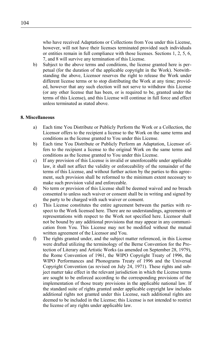who have received Adaptations or Collections from You under this License, however, will not have their licenses terminated provided such individuals or entities remain in full compliance with those licenses. Sections 1, 2, 5, 6, 7, and 8 will survive any termination of this License.

b) Subject to the above terms and conditions, the license granted here is perpetual (for the duration of the applicable copyright in the Work). Notwithstanding the above, Licensor reserves the right to release the Work under different license terms or to stop distributing the Work at any time; provided, however that any such election will not serve to withdraw this License (or any other license that has been, or is required to be, granted under the terms of this License), and this License will continue in full force and effect unless terminated as stated above.

#### **8. Miscellaneous**

- a) Each time You Distribute or Publicly Perform the Work or a Collection, the Licensor offers to the recipient a license to the Work on the same terms and conditions as the license granted to You under this License.
- b) Each time You Distribute or Publicly Perform an Adaptation, Licensor offers to the recipient a license to the original Work on the same terms and conditions as the license granted to You under this License.
- c) If any provision of this License is invalid or unenforceable under applicable law, it shall not affect the validity or enforceability of the remainder of the terms of this License, and without further action by the parties to this agreement, such provision shall be reformed to the minimum extent necessary to make such provision valid and enforceable.
- d) No term or provision of this License shall be deemed waived and no breach consented to unless such waiver or consent shall be in writing and signed by the party to be charged with such waiver or consent.
- e) This License constitutes the entire agreement between the parties with respect to the Work licensed here. There are no understandings, agreements or representations with respect to the Work not specified here. Licensor shall not be bound by any additional provisions that may appear in any communication from You. This License may not be modified without the mutual written agreement of the Licensor and You.
- f) The rights granted under, and the subject matter referenced, in this License were drafted utilizing the terminology of the Berne Convention for the Protection of Literary and Artistic Works (as amended on September 28, 1979), the Rome Convention of 1961, the WIPO Copyright Treaty of 1996, the WIPO Performances and Phonograms Treaty of 1996 and the Universal Copyright Convention (as revised on July 24, 1971). These rights and subject matter take effect in the relevant jurisdiction in which the License terms are sought to be enforced according to the corresponding provisions of the implementation of those treaty provisions in the applicable national law. If the standard suite of rights granted under applicable copyright law includes additional rights not granted under this License, such additional rights are deemed to be included in the License; this License is not intended to restrict the license of any rights under applicable law.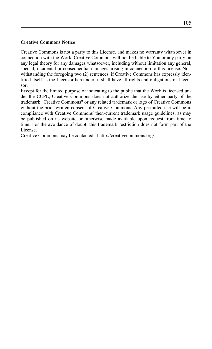#### **Creative Commons Notice**

Creative Commons is not a party to this License, and makes no warranty whatsoever in connection with the Work. Creative Commons will not be liable to You or any party on any legal theory for any damages whatsoever, including without limitation any general, special, incidental or consequential damages arising in connection to this license. Notwithstanding the foregoing two (2) sentences, if Creative Commons has expressly identified itself as the Licensor hereunder, it shall have all rights and obligations of Licensor.

Except for the limited purpose of indicating to the public that the Work is licensed under the CCPL, Creative Commons does not authorize the use by either party of the trademark "Creative Commons" or any related trademark or logo of Creative Commons without the prior written consent of Creative Commons. Any permitted use will be in compliance with Creative Commons' then-current trademark usage guidelines, as may be published on its website or otherwise made available upon request from time to time. For the avoidance of doubt, this trademark restriction does not form part of the License.

Creative Commons may be contacted at http://creativecommons.org/.